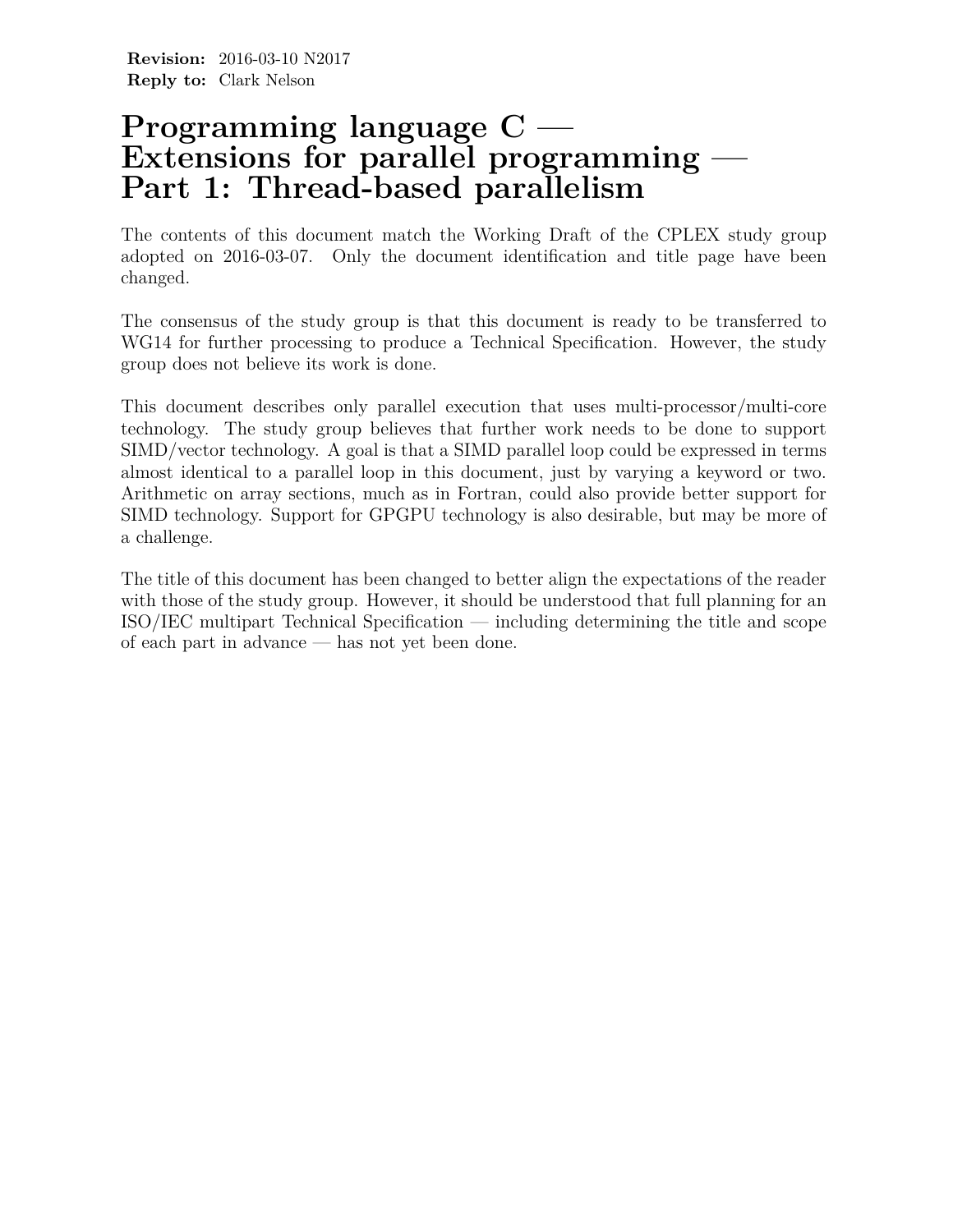# **Programming language C — Extensions for parallel programming — Part 1: Thread-based parallelism**

The contents of this document match the Working Draft of the CPLEX study group adopted on 2016-03-07. Only the document identification and title page have been changed.

The consensus of the study group is that this document is ready to be transferred to WG14 for further processing to produce a Technical Specification. However, the study group does not believe its work is done.

This document describes only parallel execution that uses multi-processor/multi-core technology. The study group believes that further work needs to be done to support SIMD/vector technology. A goal is that a SIMD parallel loop could be expressed in terms almost identical to a parallel loop in this document, just by varying a keyword or two. Arithmetic on array sections, much as in Fortran, could also provide better support for SIMD technology. Support for GPGPU technology is also desirable, but may be more of a challenge.

The title of this document has been changed to better align the expectations of the reader with those of the study group. However, it should be understood that full planning for an ISO/IEC multipart Technical Specification — including determining the title and scope of each part in advance — has not yet been done.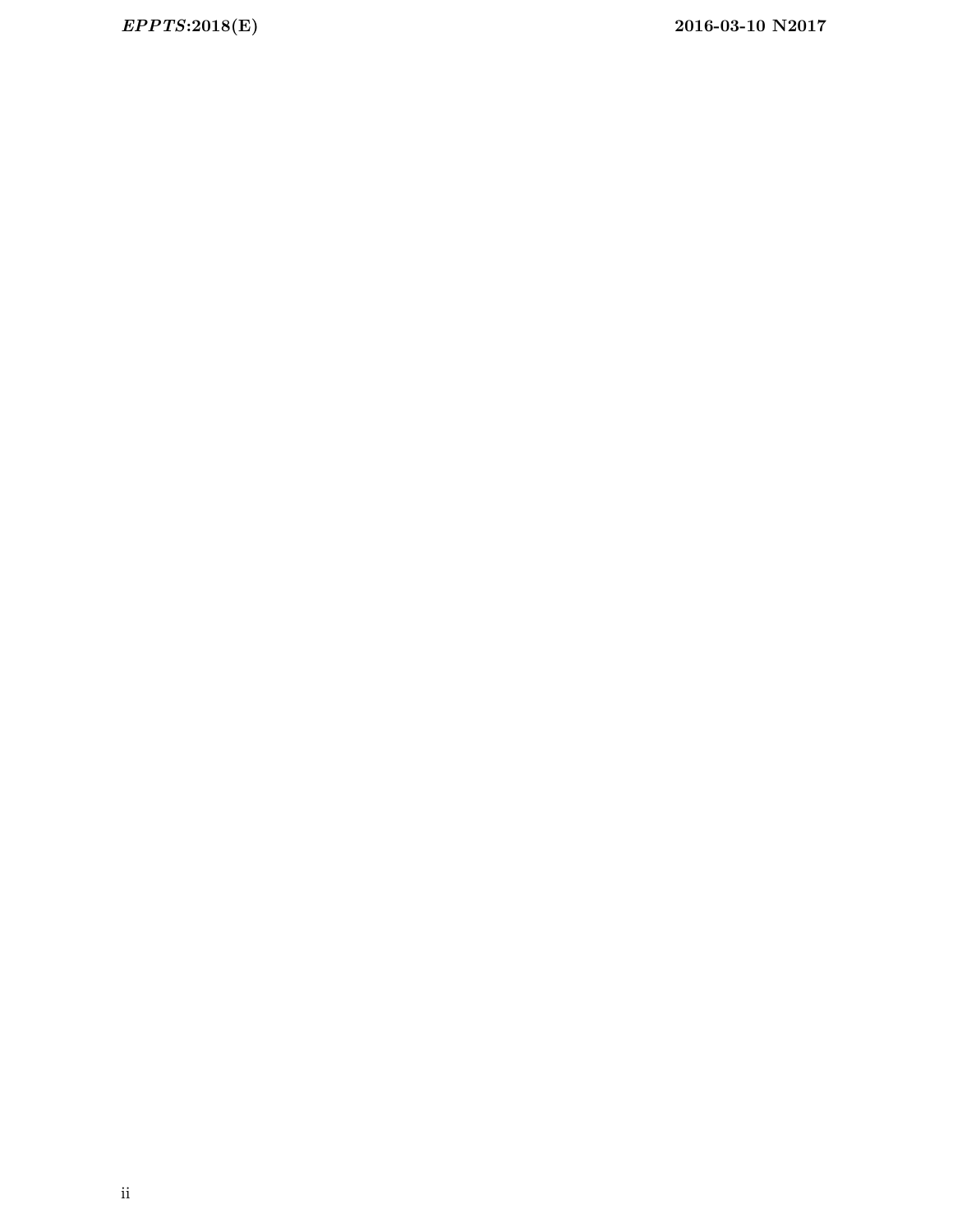*EPPTS***:2018(E) 2016-03-10 N2017**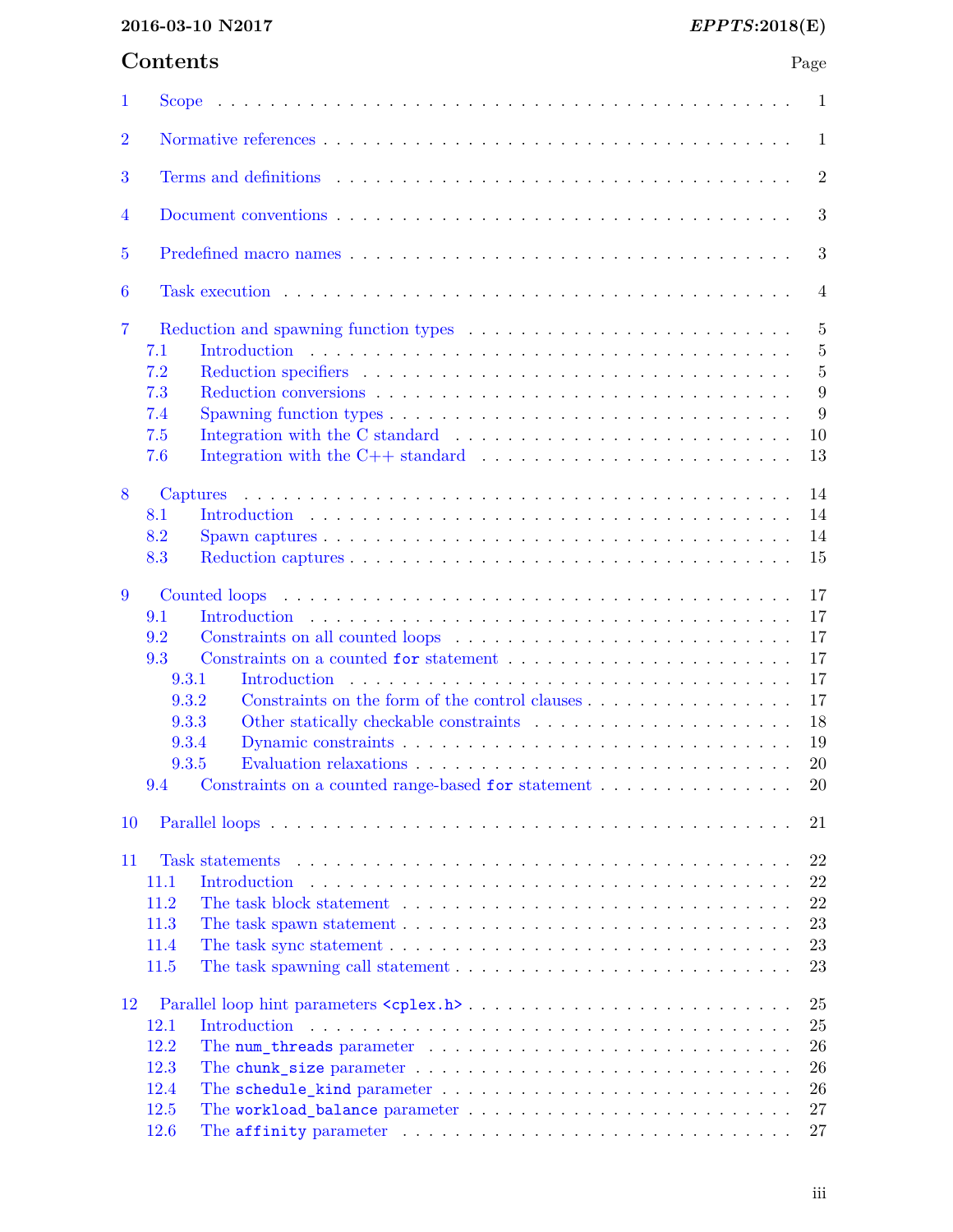# **2016-03-10 N2017** *EPPTS***:2018(E)**

|                  | Contents   |                                                                                                                                                                                                                                | Page                |
|------------------|------------|--------------------------------------------------------------------------------------------------------------------------------------------------------------------------------------------------------------------------------|---------------------|
| 1                |            |                                                                                                                                                                                                                                | $\mathbf{1}$        |
| $\overline{2}$   |            |                                                                                                                                                                                                                                | $\mathbf{1}$        |
| 3                |            | Terms and definitions entertainment of the set of the set of the set of the set of the set of the set of the set of the set of the set of the set of the set of the set of the set of the set of the set of the set of the set | $\overline{2}$      |
| $\overline{4}$   |            | Document conventions entering the state of the state of the state of the state of the state of the state of the state of the state of the state of the state of the state of the state of the state of the state of the state  | 3                   |
| $\overline{5}$   |            |                                                                                                                                                                                                                                | 3                   |
| $\boldsymbol{6}$ |            |                                                                                                                                                                                                                                | $\overline{4}$      |
|                  |            |                                                                                                                                                                                                                                |                     |
| $\overline{7}$   |            |                                                                                                                                                                                                                                | $\overline{5}$      |
|                  | 7.1        |                                                                                                                                                                                                                                | $\overline{5}$<br>5 |
|                  | 7.2<br>7.3 |                                                                                                                                                                                                                                | 9                   |
|                  |            |                                                                                                                                                                                                                                | 9                   |
|                  | 7.4        |                                                                                                                                                                                                                                |                     |
|                  | 7.5<br>7.6 | Integration with the $C$ standard $\ldots \ldots \ldots \ldots \ldots \ldots \ldots \ldots \ldots$                                                                                                                             | 10<br>13            |
|                  |            |                                                                                                                                                                                                                                |                     |
| 8                |            | Captures                                                                                                                                                                                                                       | 14                  |
|                  | 8.1        |                                                                                                                                                                                                                                | 14                  |
|                  | 8.2        |                                                                                                                                                                                                                                | 14                  |
|                  | 8.3        |                                                                                                                                                                                                                                | 15                  |
|                  |            |                                                                                                                                                                                                                                | 17                  |
| 9                |            | Counted loops                                                                                                                                                                                                                  |                     |
|                  | 9.1        | Introduction                                                                                                                                                                                                                   | 17                  |
|                  | 9.2        |                                                                                                                                                                                                                                | 17                  |
|                  | 9.3        |                                                                                                                                                                                                                                | 17                  |
|                  | 9.3.1      | Introduction                                                                                                                                                                                                                   | 17                  |
|                  | 9.3.2      | Constraints on the form of the control clauses                                                                                                                                                                                 | 17                  |
|                  | 9.3.3      |                                                                                                                                                                                                                                | 18                  |
|                  | 9.3.4      |                                                                                                                                                                                                                                | 19                  |
|                  | 9.3.5      |                                                                                                                                                                                                                                | 20                  |
|                  | 9.4        |                                                                                                                                                                                                                                | 20                  |
| <b>10</b>        |            |                                                                                                                                                                                                                                | 21                  |
| 11               |            | <b>Task statements</b>                                                                                                                                                                                                         | 22                  |
|                  | 11.1       | Introduction                                                                                                                                                                                                                   | 22                  |
|                  | 11.2       | The task block statement $\dots \dots \dots \dots \dots \dots \dots \dots \dots \dots \dots \dots \dots$                                                                                                                       | 22                  |
|                  | 11.3       |                                                                                                                                                                                                                                | 23                  |
|                  | 11.4       | The task sync statement $\dots \dots \dots \dots \dots \dots \dots \dots \dots \dots \dots \dots \dots$                                                                                                                        | 23                  |
|                  | 11.5       | The task spawning call statement $\dots \dots \dots \dots \dots \dots \dots \dots \dots \dots \dots$                                                                                                                           | 23                  |
|                  |            |                                                                                                                                                                                                                                |                     |
| 12               |            |                                                                                                                                                                                                                                | 25                  |
|                  | 12.1       |                                                                                                                                                                                                                                | 25                  |
|                  | 12.2       |                                                                                                                                                                                                                                | 26                  |
|                  | 12.3       |                                                                                                                                                                                                                                | 26                  |
|                  | 12.4       | The schedule_kind parameter $\dots \dots \dots \dots \dots \dots \dots \dots \dots \dots \dots$                                                                                                                                | 26                  |
|                  | 12.5       |                                                                                                                                                                                                                                | 27                  |
|                  | 12.6       | The affinity parameter $\dots \dots \dots \dots \dots \dots \dots \dots \dots \dots \dots \dots \dots$                                                                                                                         | 27                  |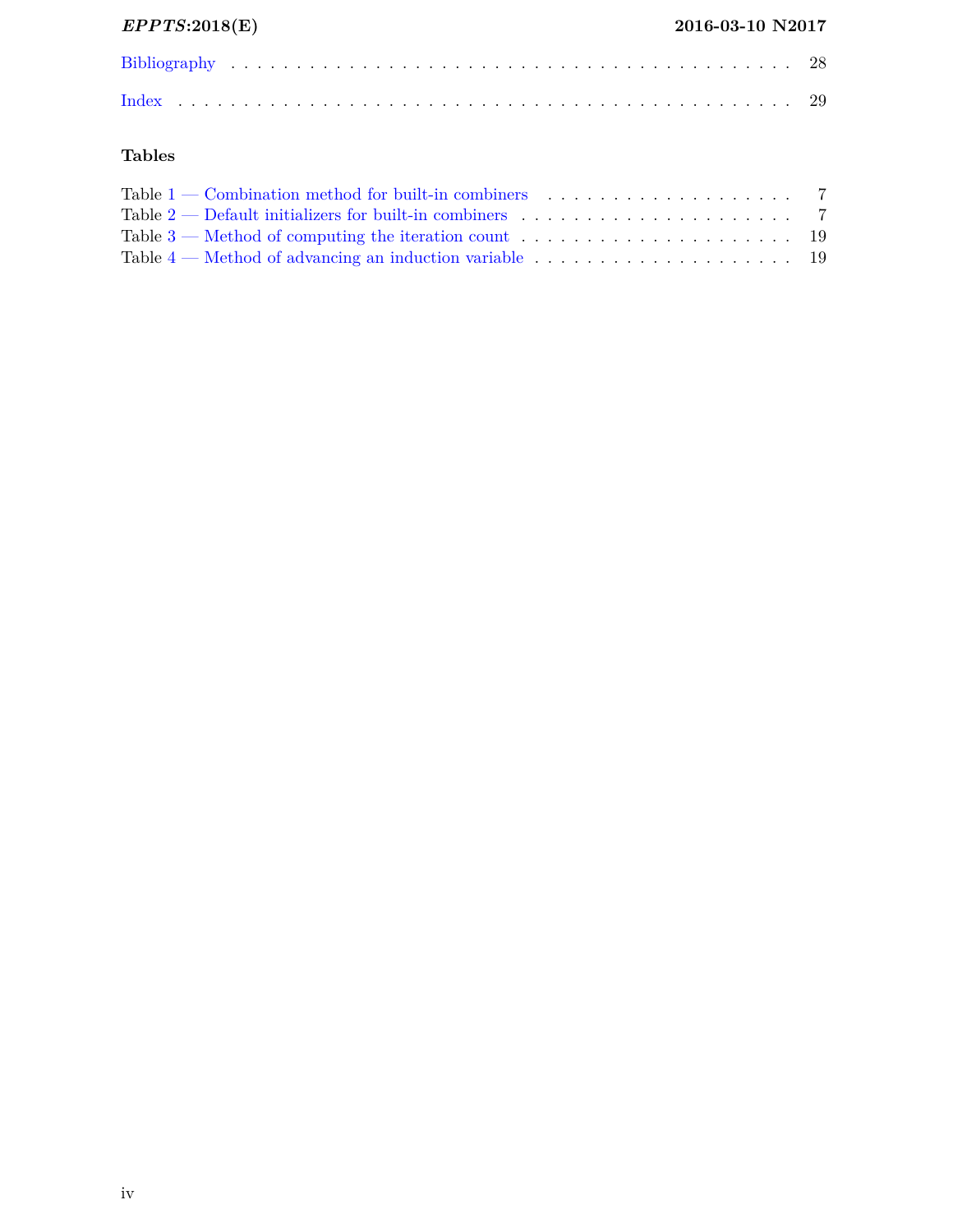# **Tables**

| Table $1$ — Combination method for built-in combiners $\ldots$ , $\ldots$ , $\ldots$ , $\ldots$ , $\ldots$ , $\ldots$   |  |
|-------------------------------------------------------------------------------------------------------------------------|--|
| Table 2 — Default initializers for built-in combiners $\ldots \ldots \ldots \ldots \ldots \ldots \ldots$                |  |
| Table $3$ — Method of computing the iteration count $\dots \dots \dots \dots \dots \dots \dots \dots \dots \dots \dots$ |  |
| Table $4$ — Method of advancing an induction variable $\dots \dots \dots \dots \dots \dots \dots \dots \dots$           |  |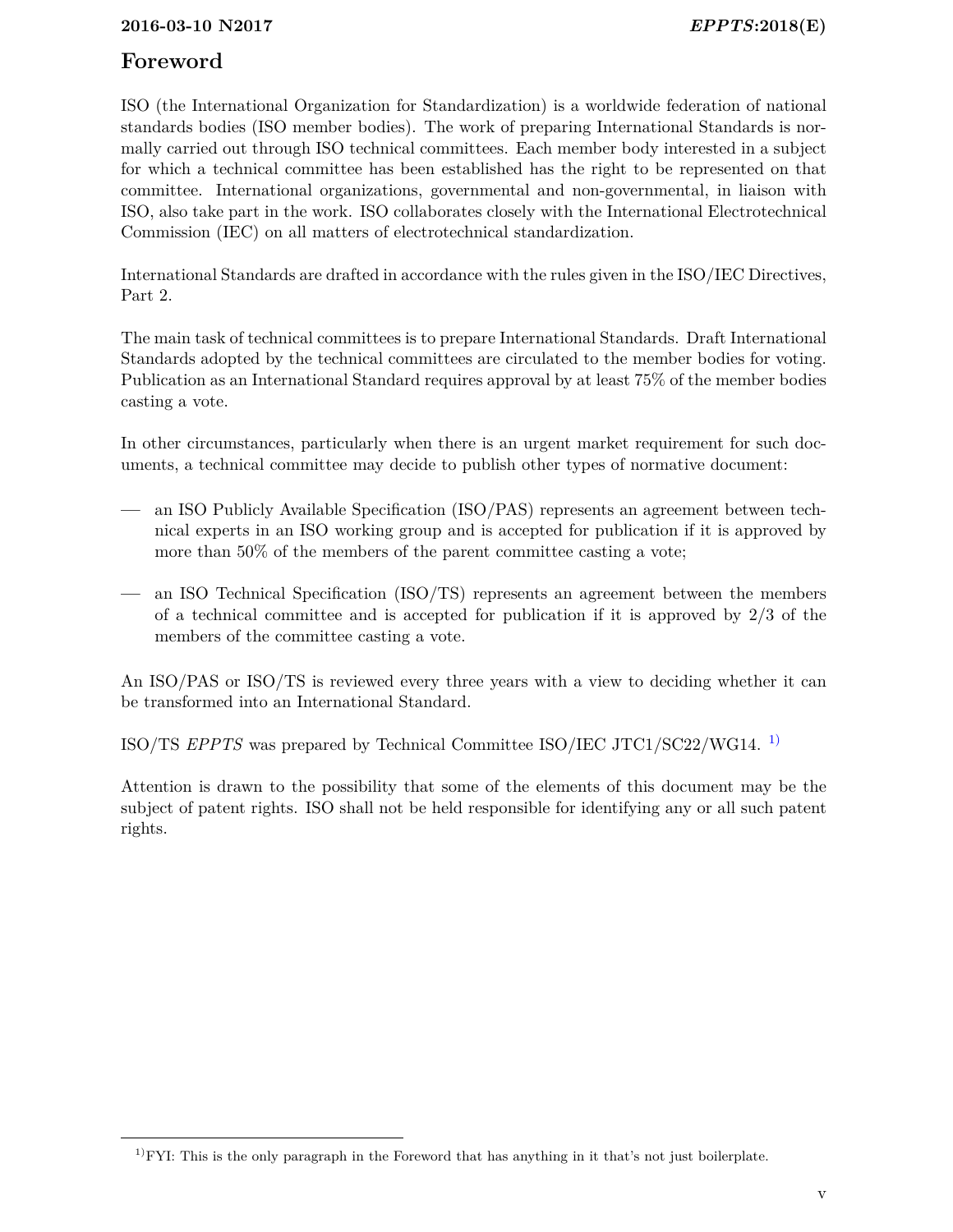# **Foreword**

ISO (the International Organization for Standardization) is a worldwide federation of national standards bodies (ISO member bodies). The work of preparing International Standards is normally carried out through ISO technical committees. Each member body interested in a subject for which a technical committee has been established has the right to be represented on that committee. International organizations, governmental and non-governmental, in liaison with ISO, also take part in the work. ISO collaborates closely with the International Electrotechnical Commission (IEC) on all matters of electrotechnical standardization.

International Standards are drafted in accordance with the rules given in the ISO/IEC Directives, Part 2.

The main task of technical committees is to prepare International Standards. Draft International Standards adopted by the technical committees are circulated to the member bodies for voting. Publication as an International Standard requires approval by at least 75% of the member bodies casting a vote.

In other circumstances, particularly when there is an urgent market requirement for such documents, a technical committee may decide to publish other types of normative document:

- **—** an ISO Publicly Available Specification (ISO/PAS) represents an agreement between technical experts in an ISO working group and is accepted for publication if it is approved by more than 50% of the members of the parent committee casting a vote;
- **—** an ISO Technical Specification (ISO/TS) represents an agreement between the members of a technical committee and is accepted for publication if it is approved by 2/3 of the members of the committee casting a vote.

An ISO/PAS or ISO/TS is reviewed every three years with a view to deciding whether it can be transformed into an International Standard.

ISO/TS *EPPTS* was prepared by Technical Committee ISO/IEC JTC1/SC22/WG14. [1\)](#page-4-0)

Attention is drawn to the possibility that some of the elements of this document may be the subject of patent rights. ISO shall not be held responsible for identifying any or all such patent rights.

<span id="page-4-0"></span> $<sup>1</sup>$ FYI: This is the only paragraph in the Foreword that has anything in it that's not just boilerplate.</sup>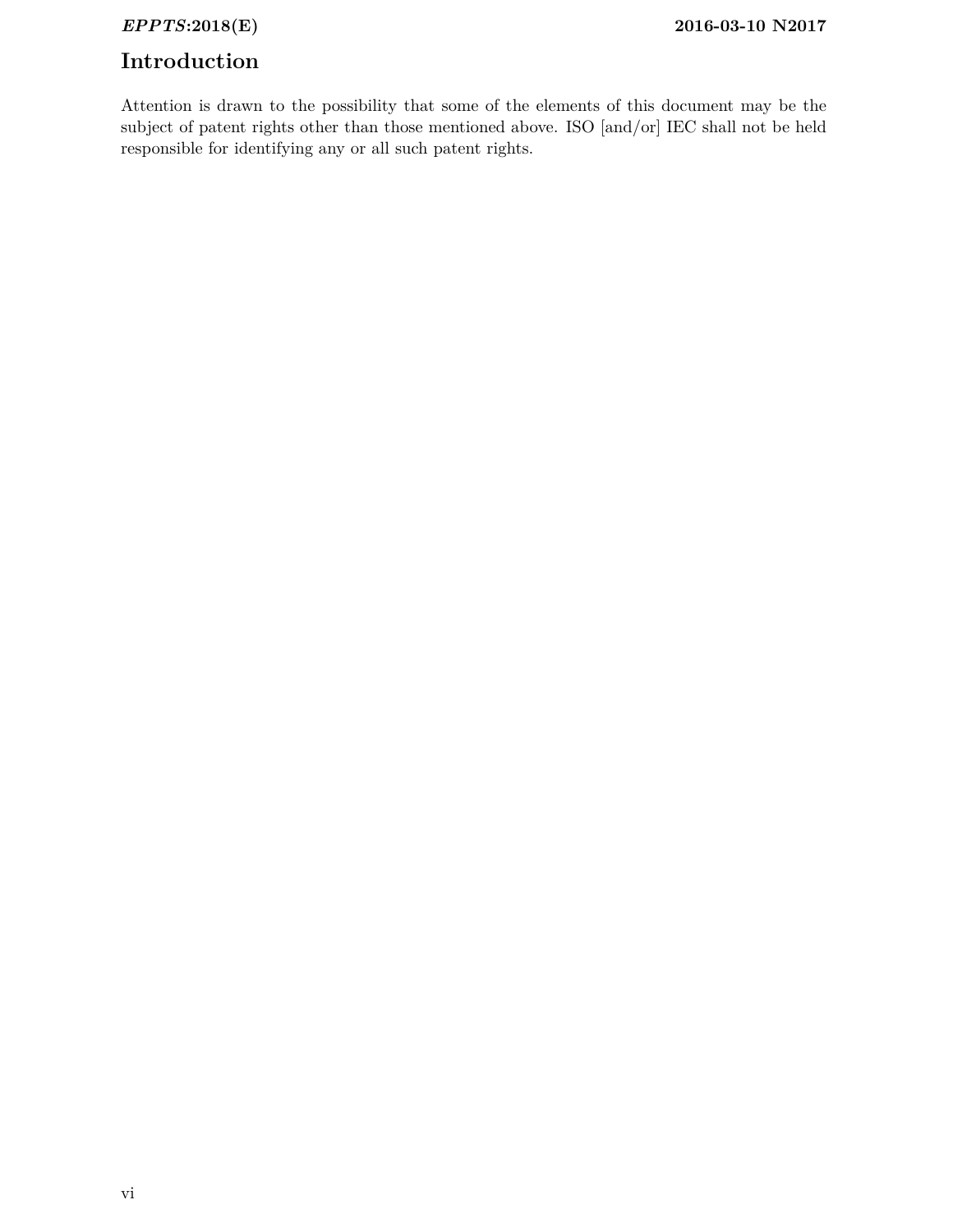*EPPTS***:2018(E) 2016-03-10 N2017**

# **Introduction**

Attention is drawn to the possibility that some of the elements of this document may be the subject of patent rights other than those mentioned above. ISO [and/or] IEC shall not be held responsible for identifying any or all such patent rights.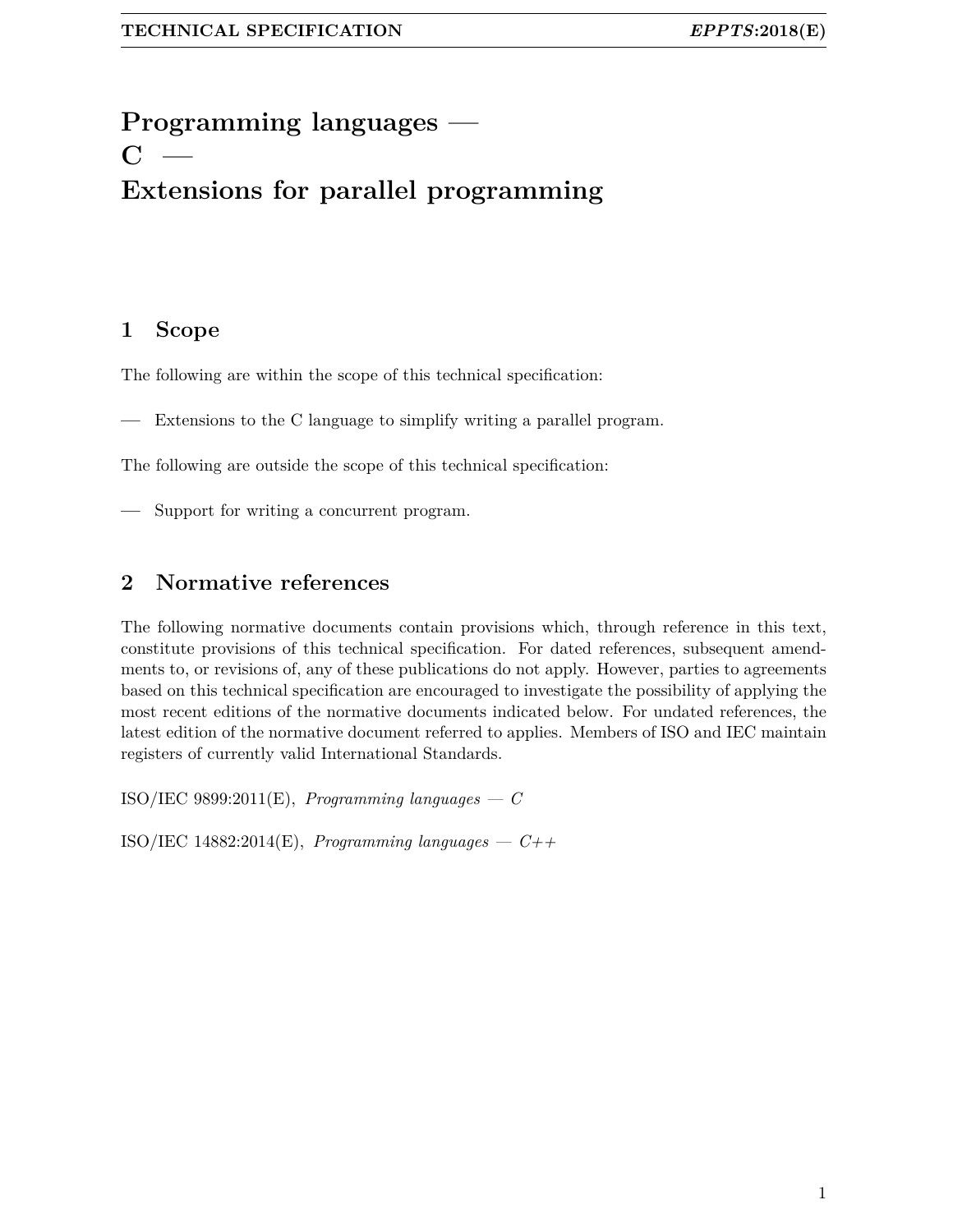# **Programming languages —**  $\mathbf C$ **Extensions for parallel programming**

# <span id="page-6-0"></span>**1 Scope**

The following are within the scope of this technical specification:

**—** Extensions to the C language to simplify writing a parallel program.

The following are outside the scope of this technical specification:

**—** Support for writing a concurrent program.

# <span id="page-6-1"></span>**2 Normative references**

The following normative documents contain provisions which, through reference in this text, constitute provisions of this technical specification. For dated references, subsequent amendments to, or revisions of, any of these publications do not apply. However, parties to agreements based on this technical specification are encouraged to investigate the possibility of applying the most recent editions of the normative documents indicated below. For undated references, the latest edition of the normative document referred to applies. Members of ISO and IEC maintain registers of currently valid International Standards.

ISO/IEC 9899:2011(E), *Programming languages — C*

ISO/IEC 14882:2014(E), *Programming languages — C++*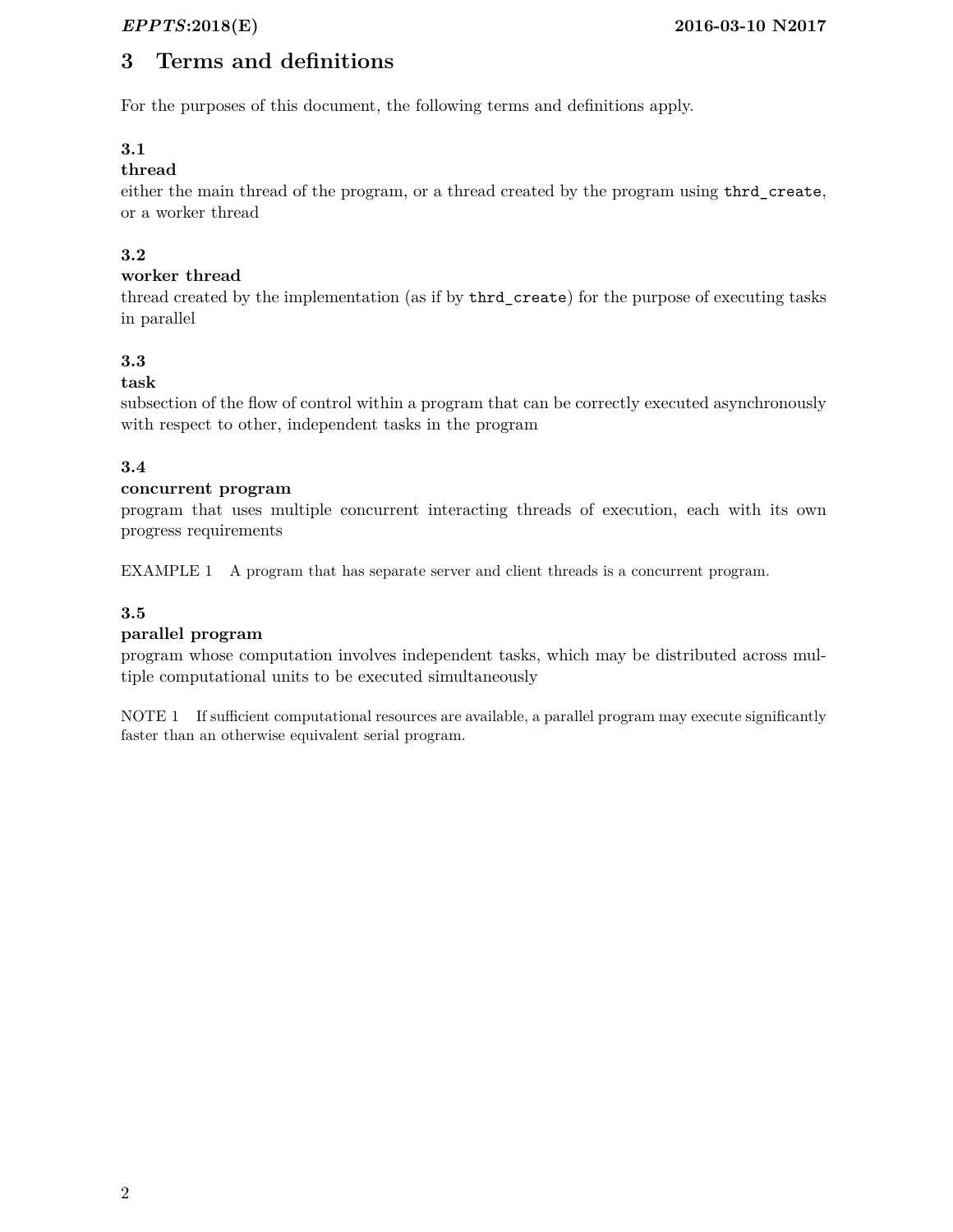# <span id="page-7-1"></span><span id="page-7-0"></span>**3 Terms and definitions**

For the purposes of this document, the following terms and definitions apply.

# **3.1**

# **thread**

either the main thread of the program, or a thread created by the program using thrd\_create, or a worker thread

# **3.2**

## **worker thread**

thread created by the implementation (as if by thrd\_create) for the purpose of executing tasks in parallel

# **3.3**

# **task**

subsection of the flow of control within a program that can be correctly executed asynchronously with respect to other, independent tasks in the program

# **3.4**

## **concurrent program**

program that uses multiple concurrent interacting threads of execution, each with its own progress requirements

EXAMPLE 1 A program that has separate server and client threads is a concurrent program.

# **3.5**

# **parallel program**

program whose computation involves independent tasks, which may be distributed across multiple computational units to be executed simultaneously

NOTE 1 If sufficient computational resources are available, a parallel program may execute significantly faster than an otherwise equivalent serial program.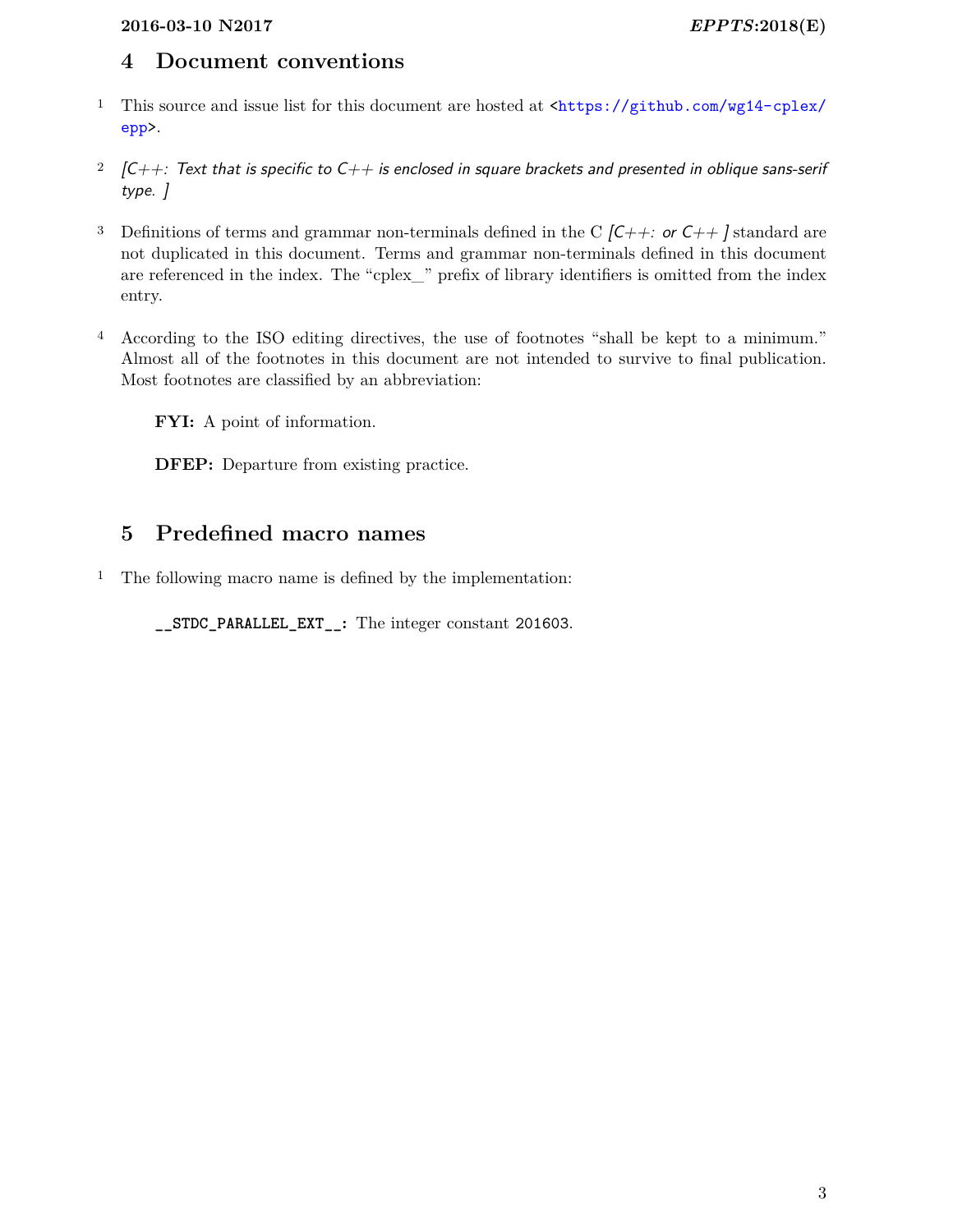# <span id="page-8-0"></span>**4 Document conventions**

- 1 This source and issue list for this document are hosted at [<https://github.com/wg14-cplex/](https://github.com/wg14-cplex/epp) [epp>](https://github.com/wg14-cplex/epp).
- <sup>2</sup>  $|C++$ : Text that is specific to  $C++$  is enclosed in square brackets and presented in oblique sans-serif type. ]
- <sup>3</sup> Definitions of terms and grammar non-terminals defined in the C  $/C++$ : or  $C++$  standard are not duplicated in this document. Terms and grammar non-terminals defined in this document are referenced in the index. The "cplex\_" prefix of library identifiers is omitted from the index entry.
- 4 According to the ISO editing directives, the use of footnotes "shall be kept to a minimum." Almost all of the footnotes in this document are not intended to survive to final publication. Most footnotes are classified by an abbreviation:

**FYI:** A point of information.

**DFEP:** Departure from existing practice.

# <span id="page-8-1"></span>**5 Predefined macro names**

1 The following macro name is defined by the implementation:

**\_\_STDC\_PARALLEL\_EXT\_\_:** The integer constant 201603.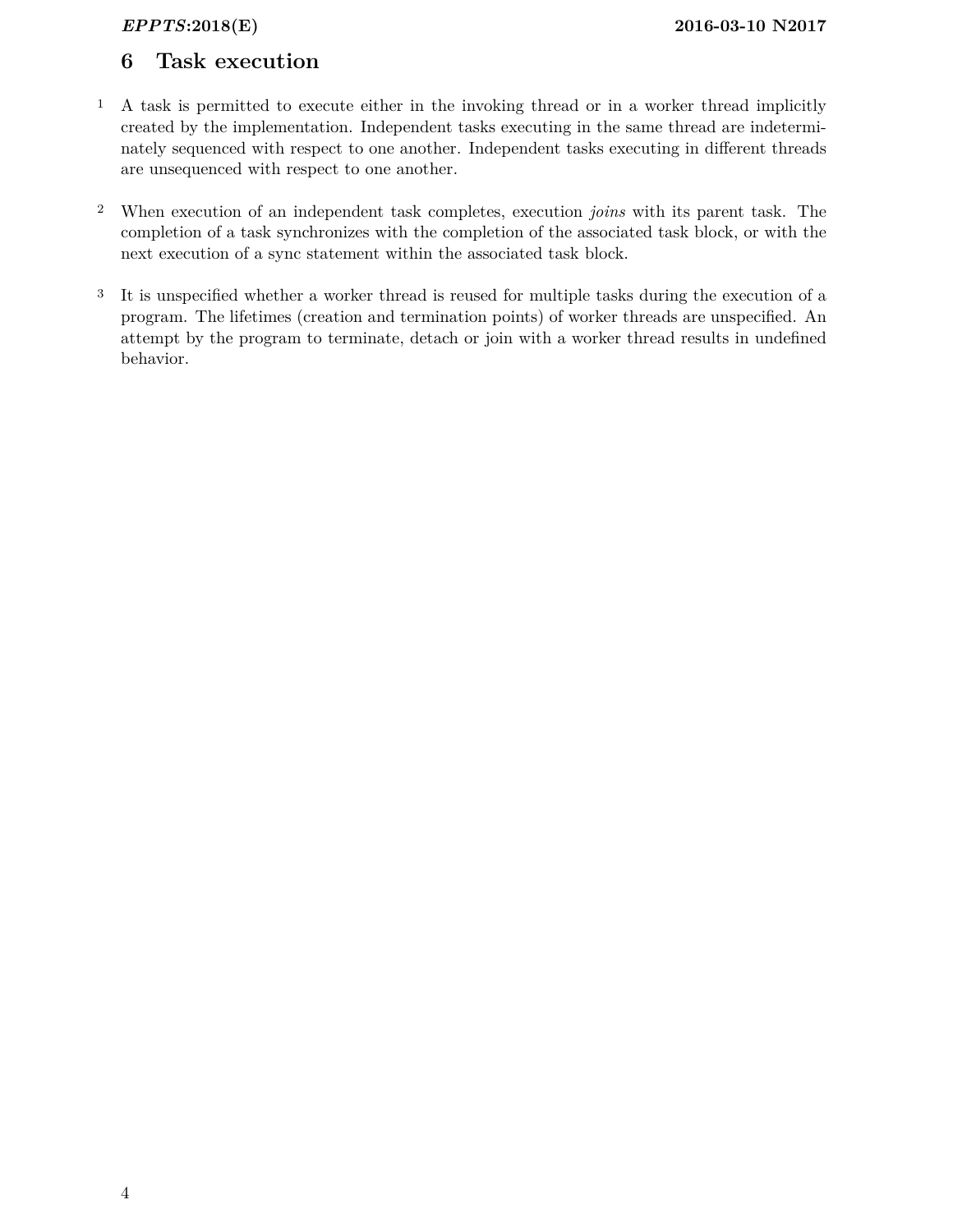# <span id="page-9-1"></span><span id="page-9-0"></span>**6 Task execution**

- 1 A task is permitted to execute either in the invoking thread or in a worker thread implicitly created by the implementation. Independent tasks executing in the same thread are indeterminately sequenced with respect to one another. Independent tasks executing in different threads are unsequenced with respect to one another.
- 2 When execution of an independent task completes, execution *joins* with its parent task. The completion of a task synchronizes with the completion of the associated task block, or with the next execution of a sync statement within the associated task block.
- 3 It is unspecified whether a worker thread is reused for multiple tasks during the execution of a program. The lifetimes (creation and termination points) of worker threads are unspecified. An attempt by the program to terminate, detach or join with a worker thread results in undefined behavior.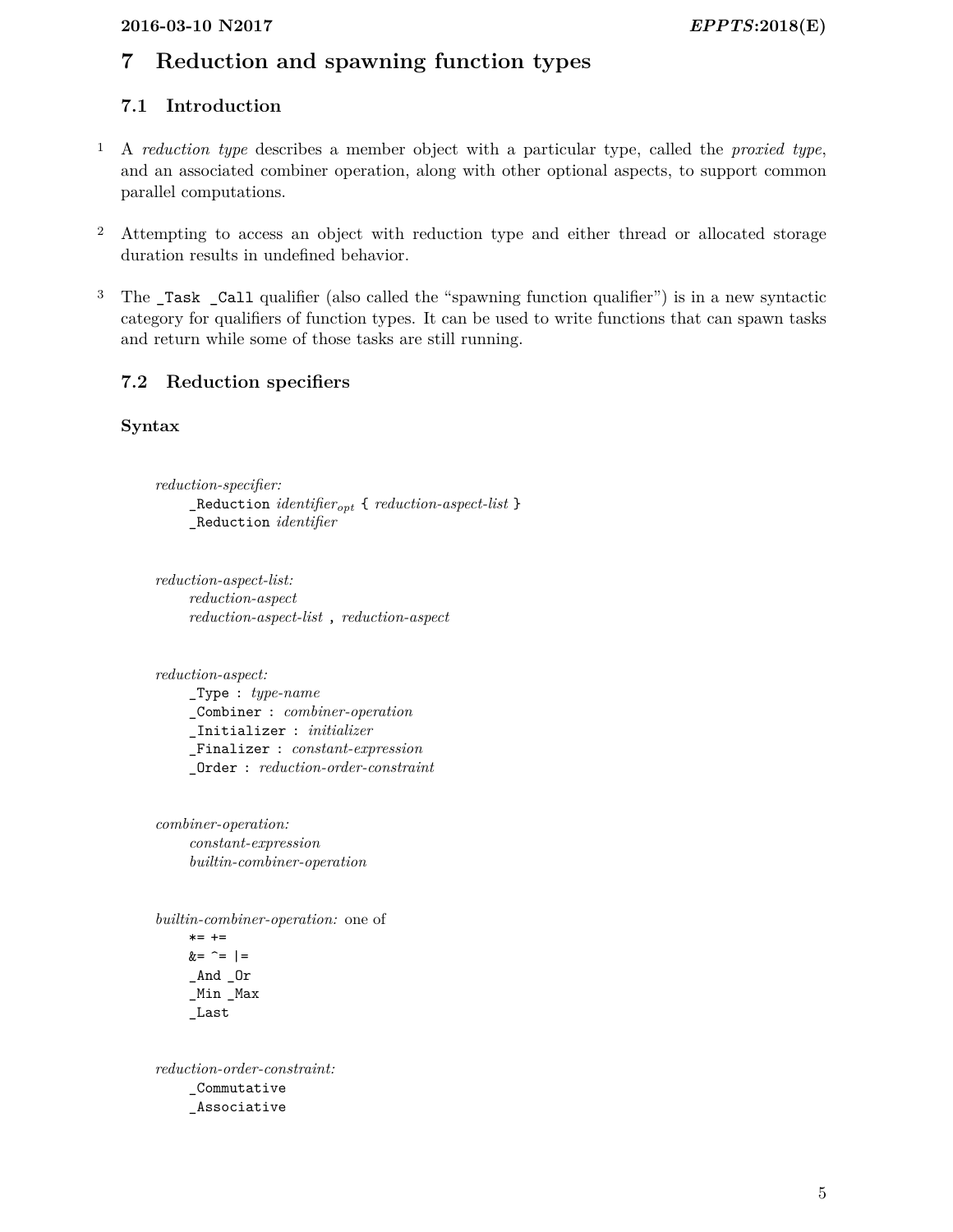# <span id="page-10-3"></span><span id="page-10-1"></span><span id="page-10-0"></span>**7 Reduction and spawning function types**

# **7.1 Introduction**

- 1 A *reduction type* describes a member object with a particular type, called the *proxied type*, and an associated combiner operation, along with other optional aspects, to support common parallel computations.
- 2 Attempting to access an object with reduction type and either thread or allocated storage duration results in undefined behavior.
- 3 The \_Task \_Call qualifier (also called the "spawning function qualifier") is in a new syntactic category for qualifiers of function types. It can be used to write functions that can spawn tasks and return while some of those tasks are still running.

## <span id="page-10-2"></span>**7.2 Reduction specifiers**

#### **Syntax**

```
reduction-specifier:
     _Reduction identifieropt { reduction-aspect-list }
    _Reduction identifier
```
*reduction-aspect-list: reduction-aspect reduction-aspect-list* , *reduction-aspect*

*reduction-aspect:*

\_Type : *type-name* \_Combiner : *combiner-operation* \_Initializer : *initializer* \_Finalizer : *constant-expression* \_Order : *reduction-order-constraint*

*combiner-operation: constant-expression builtin-combiner-operation*

*builtin-combiner-operation:* one of  $* = +=$  $&=$  ^= |= \_And \_Or \_Min \_Max \_Last

*reduction-order-constraint:* \_Commutative \_Associative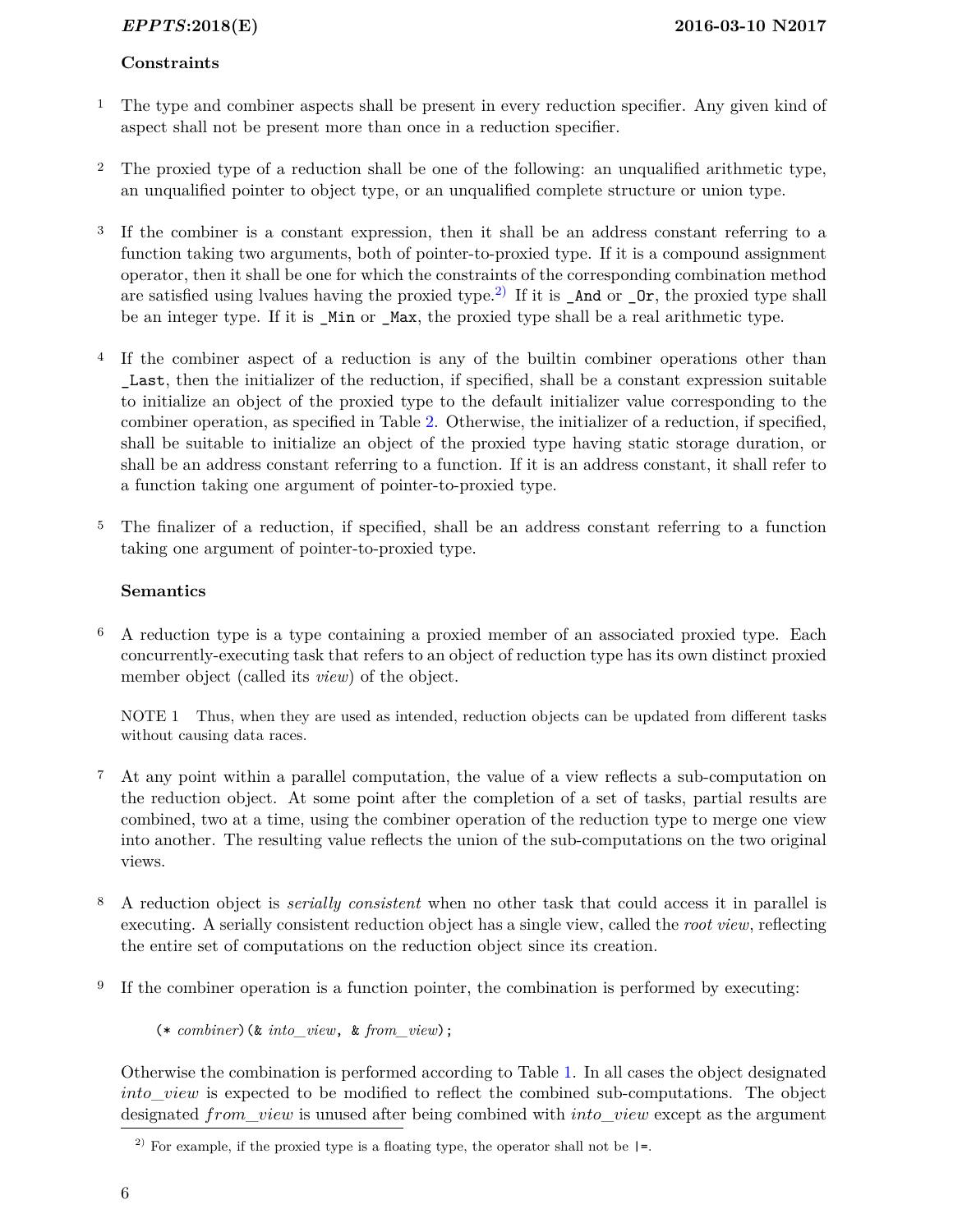## <span id="page-11-1"></span>**Constraints**

- <sup>1</sup> The type and combiner aspects shall be present in every reduction specifier. Any given kind of aspect shall not be present more than once in a reduction specifier.
- 2 The proxied type of a reduction shall be one of the following: an unqualified arithmetic type, an unqualified pointer to object type, or an unqualified complete structure or union type.
- 3 If the combiner is a constant expression, then it shall be an address constant referring to a function taking two arguments, both of pointer-to-proxied type. If it is a compound assignment operator, then it shall be one for which the constraints of the corresponding combination method are satisfied using lvalues having the proxied type.<sup>[2\)](#page-11-0)</sup> If it is  $\Delta$ nd or  $\Delta$ r, the proxied type shall be an integer type. If it is Min or Max, the proxied type shall be a real arithmetic type.
- 4 If the combiner aspect of a reduction is any of the builtin combiner operations other than Last, then the initializer of the reduction, if specified, shall be a constant expression suitable to initialize an object of the proxied type to the default initializer value corresponding to the combiner operation, as specified in Table [2.](#page-12-1) Otherwise, the initializer of a reduction, if specified, shall be suitable to initialize an object of the proxied type having static storage duration, or shall be an address constant referring to a function. If it is an address constant, it shall refer to a function taking one argument of pointer-to-proxied type.
- 5 The finalizer of a reduction, if specified, shall be an address constant referring to a function taking one argument of pointer-to-proxied type.

## **Semantics**

6 A reduction type is a type containing a proxied member of an associated proxied type. Each concurrently-executing task that refers to an object of reduction type has its own distinct proxied member object (called its *view*) of the object.

NOTE 1 Thus, when they are used as intended, reduction objects can be updated from different tasks without causing data races.

- 7 At any point within a parallel computation, the value of a view reflects a sub-computation on the reduction object. At some point after the completion of a set of tasks, partial results are combined, two at a time, using the combiner operation of the reduction type to merge one view into another. The resulting value reflects the union of the sub-computations on the two original views.
- 8 A reduction object is *serially consistent* when no other task that could access it in parallel is executing. A serially consistent reduction object has a single view, called the *root view*, reflecting the entire set of computations on the reduction object since its creation.
- <sup>9</sup> If the combiner operation is a function pointer, the combination is performed by executing:

(\* *combiner*)(& *into\_view*, & *from\_view*);

Otherwise the combination is performed according to Table [1.](#page-12-0) In all cases the object designated into\_view is expected to be modified to reflect the combined sub-computations. The object designated from view is unused after being combined with into view except as the argument

<span id="page-11-0"></span><sup>&</sup>lt;sup>2)</sup> For example, if the proxied type is a floating type, the operator shall not be  $\vert$ =.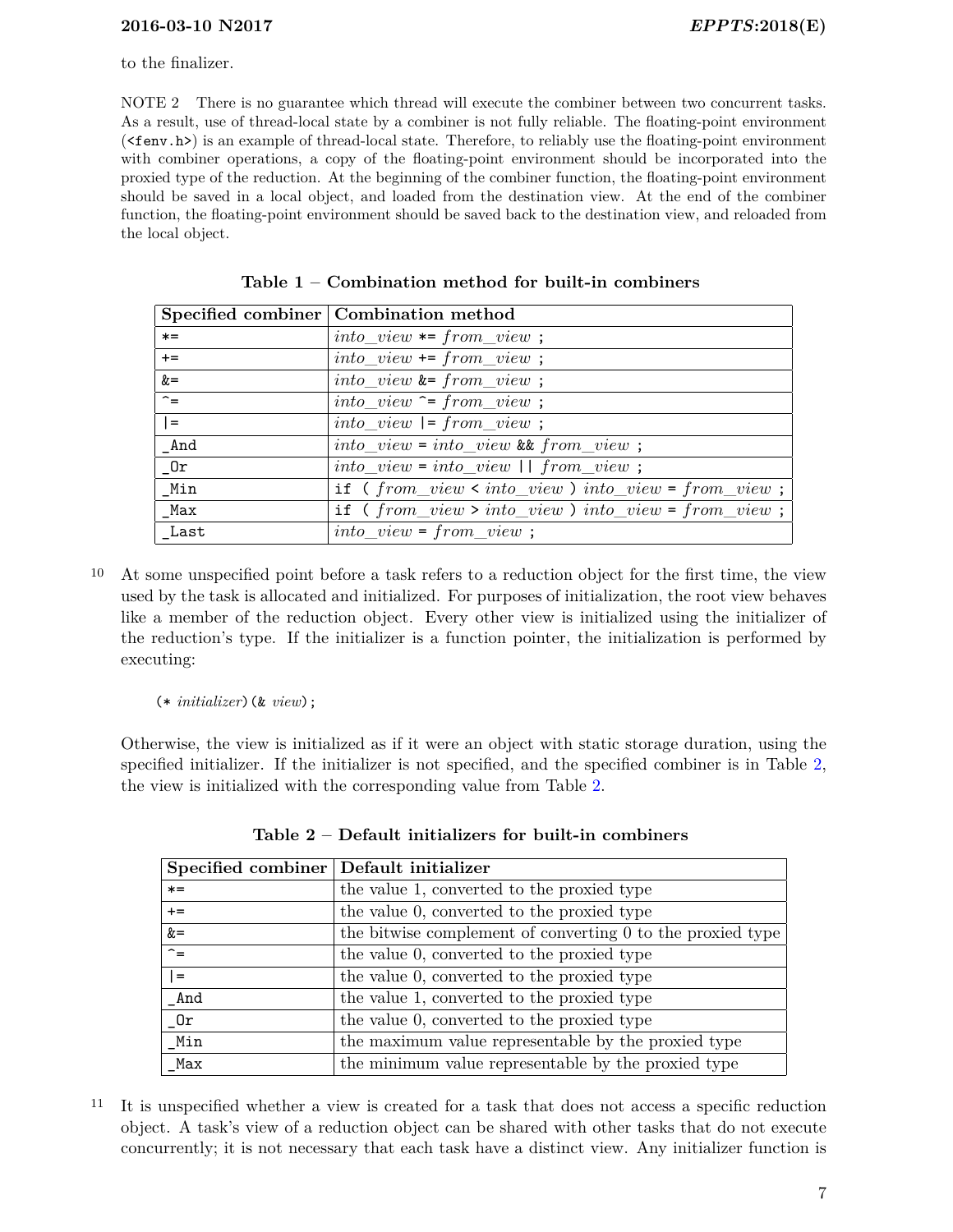to the finalizer.

NOTE 2 There is no guarantee which thread will execute the combiner between two concurrent tasks. As a result, use of thread-local state by a combiner is not fully reliable. The floating-point environment (<fenv.h>) is an example of thread-local state. Therefore, to reliably use the floating-point environment with combiner operations, a copy of the floating-point environment should be incorporated into the proxied type of the reduction. At the beginning of the combiner function, the floating-point environment should be saved in a local object, and loaded from the destination view. At the end of the combiner function, the floating-point environment should be saved back to the destination view, and reloaded from the local object.

|            | Specified combiner   Combination method            |
|------------|----------------------------------------------------|
| $* =$      | $into\_view \coloneqq from\_view;$                 |
| $+=$       | $into\_view \vcentcolon= from\_view;$              |
| &=         | $into\_view$ &= $from\_view$ ;                     |
| $\hat{z}$  | $into\_view \frown from\_view ;$                   |
| $=$        | $into\_view$  = $from\_view$ ;                     |
| _And       | into $view = into\_view$ && from_view;             |
| $\iota$ 0r | $into\_view = into\_view \mid \mid from\_view ;$   |
| Min        | if (from_view < into_view ) into_view = from_view; |
| Max        | if (from view > into view ) into view = from view; |
| Last       | $into\_view = from\_view;$                         |

<span id="page-12-0"></span>

| Table $1$ – Combination method for built-in combiners |  |  |  |
|-------------------------------------------------------|--|--|--|
|-------------------------------------------------------|--|--|--|

10 At some unspecified point before a task refers to a reduction object for the first time, the view used by the task is allocated and initialized. For purposes of initialization, the root view behaves like a member of the reduction object. Every other view is initialized using the initializer of the reduction's type. If the initializer is a function pointer, the initialization is performed by executing:

(\* *initializer*)(& *view*);

Otherwise, the view is initialized as if it were an object with static storage duration, using the specified initializer. If the initializer is not specified, and the specified combiner is in Table [2,](#page-12-1) the view is initialized with the corresponding value from Table [2.](#page-12-1)

| Specified combiner Default initializer |                                                            |
|----------------------------------------|------------------------------------------------------------|
| $* =$                                  | the value 1, converted to the proxied type                 |
| $+=$                                   | the value 0, converted to the proxied type                 |
| $&=$                                   | the bitwise complement of converting 0 to the proxied type |
| $\overline{\mathcal{L}_{\pm}}$         | the value 0, converted to the proxied type                 |
| $\equiv$                               | the value 0, converted to the proxied type                 |
| And                                    | the value 1, converted to the proxied type                 |
| 0r                                     | the value 0, converted to the proxied type                 |
| Min                                    | the maximum value representable by the proxied type        |
| Max                                    | the minimum value representable by the proxied type        |

<span id="page-12-1"></span>**Table 2 – Default initializers for built-in combiners**

11 It is unspecified whether a view is created for a task that does not access a specific reduction object. A task's view of a reduction object can be shared with other tasks that do not execute concurrently; it is not necessary that each task have a distinct view. Any initializer function is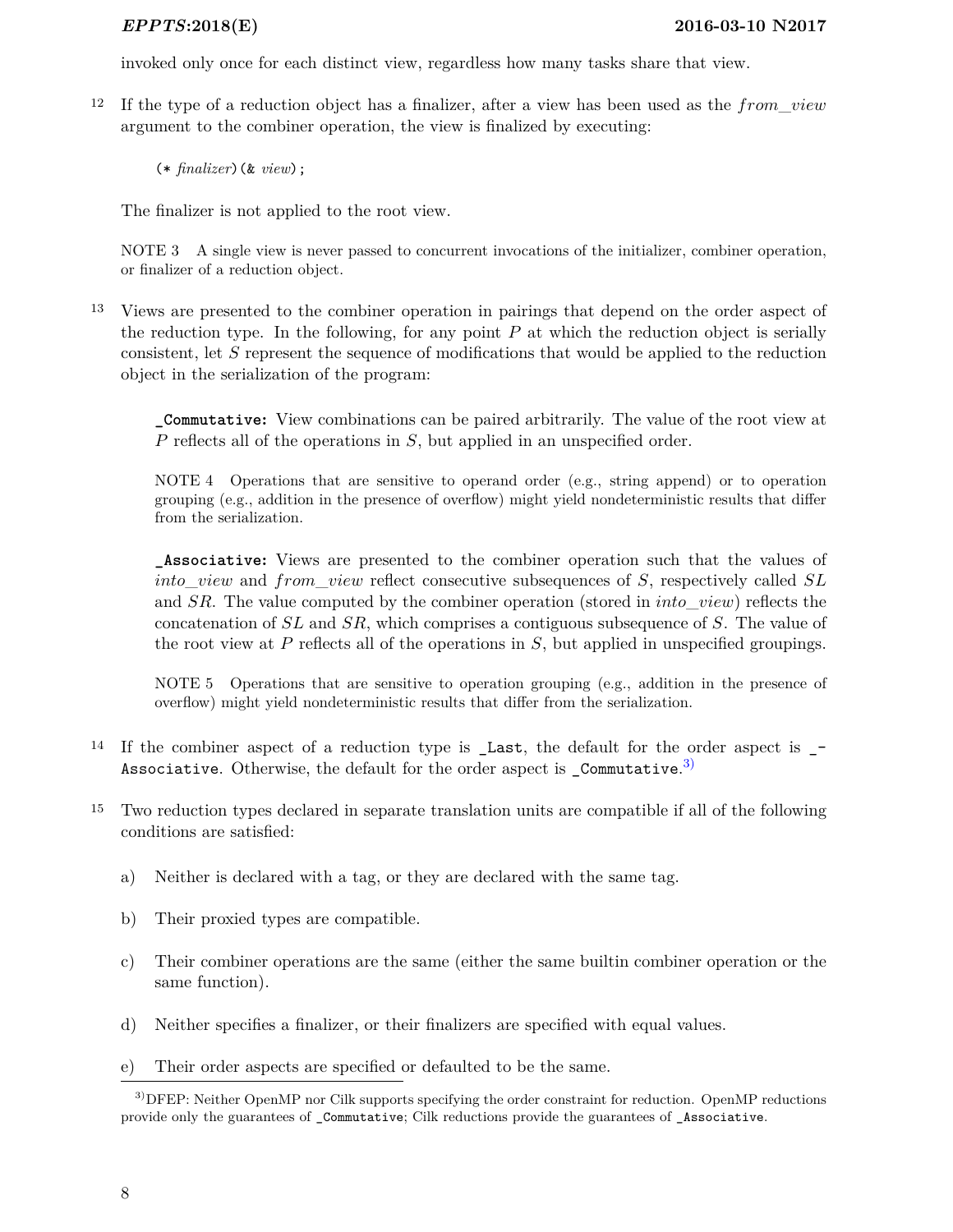invoked only once for each distinct view, regardless how many tasks share that view.

<sup>12</sup> If the type of a reduction object has a finalizer, after a view has been used as the *from* view argument to the combiner operation, the view is finalized by executing:

(\* *finalizer*)(& *view*);

The finalizer is not applied to the root view.

NOTE 3 A single view is never passed to concurrent invocations of the initializer, combiner operation, or finalizer of a reduction object.

13 Views are presented to the combiner operation in pairings that depend on the order aspect of the reduction type. In the following, for any point  $P$  at which the reduction object is serially consistent, let S represent the sequence of modifications that would be applied to the reduction object in the serialization of the program:

**\_Commutative:** View combinations can be paired arbitrarily. The value of the root view at  $P$  reflects all of the operations in  $S$ , but applied in an unspecified order.

NOTE 4 Operations that are sensitive to operand order (e.g., string append) or to operation grouping (e.g., addition in the presence of overflow) might yield nondeterministic results that differ from the serialization.

**\_Associative:** Views are presented to the combiner operation such that the values of into view and from view reflect consecutive subsequences of  $S$ , respectively called  $SL$ and  $SR$ . The value computed by the combiner operation (stored in *into* view) reflects the concatenation of  $SL$  and  $SR$ , which comprises a contiguous subsequence of S. The value of the root view at P reflects all of the operations in  $S$ , but applied in unspecified groupings.

NOTE 5 Operations that are sensitive to operation grouping (e.g., addition in the presence of overflow) might yield nondeterministic results that differ from the serialization.

- <sup>14</sup> If the combiner aspect of a reduction type is  $\text{\_}$ Last, the default for the order aspect is  $\text{-}$ Associative. Otherwise, the default for the order aspect is  $\sub$ Commutative.<sup>[3\)](#page-13-0)</sup>
- 15 Two reduction types declared in separate translation units are compatible if all of the following conditions are satisfied:
	- a) Neither is declared with a tag, or they are declared with the same tag.
	- b) Their proxied types are compatible.
	- c) Their combiner operations are the same (either the same builtin combiner operation or the same function).
	- d) Neither specifies a finalizer, or their finalizers are specified with equal values.
	- e) Their order aspects are specified or defaulted to be the same.

<span id="page-13-0"></span><sup>3)</sup>DFEP: Neither OpenMP nor Cilk supports specifying the order constraint for reduction. OpenMP reductions provide only the guarantees of \_Commutative; Cilk reductions provide the guarantees of \_Associative.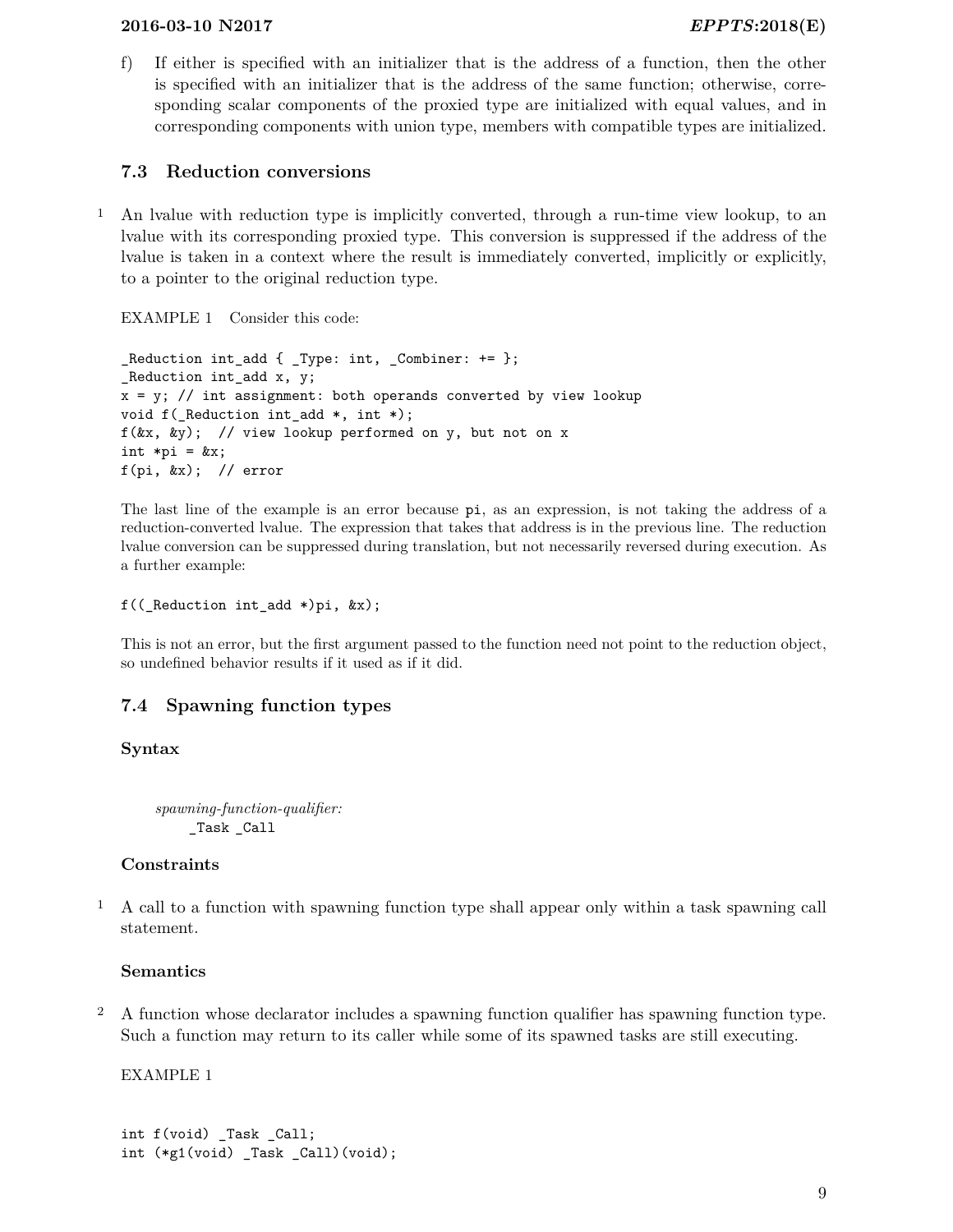#### <span id="page-14-2"></span>**2016-03-10 N2017** *EPPTS***:2018(E)**

f) If either is specified with an initializer that is the address of a function, then the other is specified with an initializer that is the address of the same function; otherwise, corresponding scalar components of the proxied type are initialized with equal values, and in corresponding components with union type, members with compatible types are initialized.

#### <span id="page-14-0"></span>**7.3 Reduction conversions**

1 An lvalue with reduction type is implicitly converted, through a run-time view lookup, to an lvalue with its corresponding proxied type. This conversion is suppressed if the address of the lvalue is taken in a context where the result is immediately converted, implicitly or explicitly, to a pointer to the original reduction type.

EXAMPLE 1 Consider this code:

\_Reduction int\_add { \_Type: int, \_Combiner: += }; \_Reduction int\_add x, y;  $x = y$ ; // int assignment: both operands converted by view lookup void f( Reduction int add  $*$ , int  $*)$ ; f(&x, &y); // view lookup performed on y, but not on x int  $*pi = 8x;$ f(pi, &x); // error

The last line of the example is an error because pi, as an expression, is not taking the address of a reduction-converted lvalue. The expression that takes that address is in the previous line. The reduction lvalue conversion can be suppressed during translation, but not necessarily reversed during execution. As a further example:

```
f((_Reduction int_add *)pi, &x);
```
This is not an error, but the first argument passed to the function need not point to the reduction object, so undefined behavior results if it used as if it did.

## <span id="page-14-1"></span>**7.4 Spawning function types**

#### **Syntax**

*spawning-function-qualifier:* \_Task \_Call

#### **Constraints**

1 A call to a function with spawning function type shall appear only within a task spawning call statement.

#### **Semantics**

2 A function whose declarator includes a spawning function qualifier has spawning function type. Such a function may return to its caller while some of its spawned tasks are still executing.

EXAMPLE 1

```
int f(void) _Task _Call;
int (*g1(void) _Task _Call)(void);
```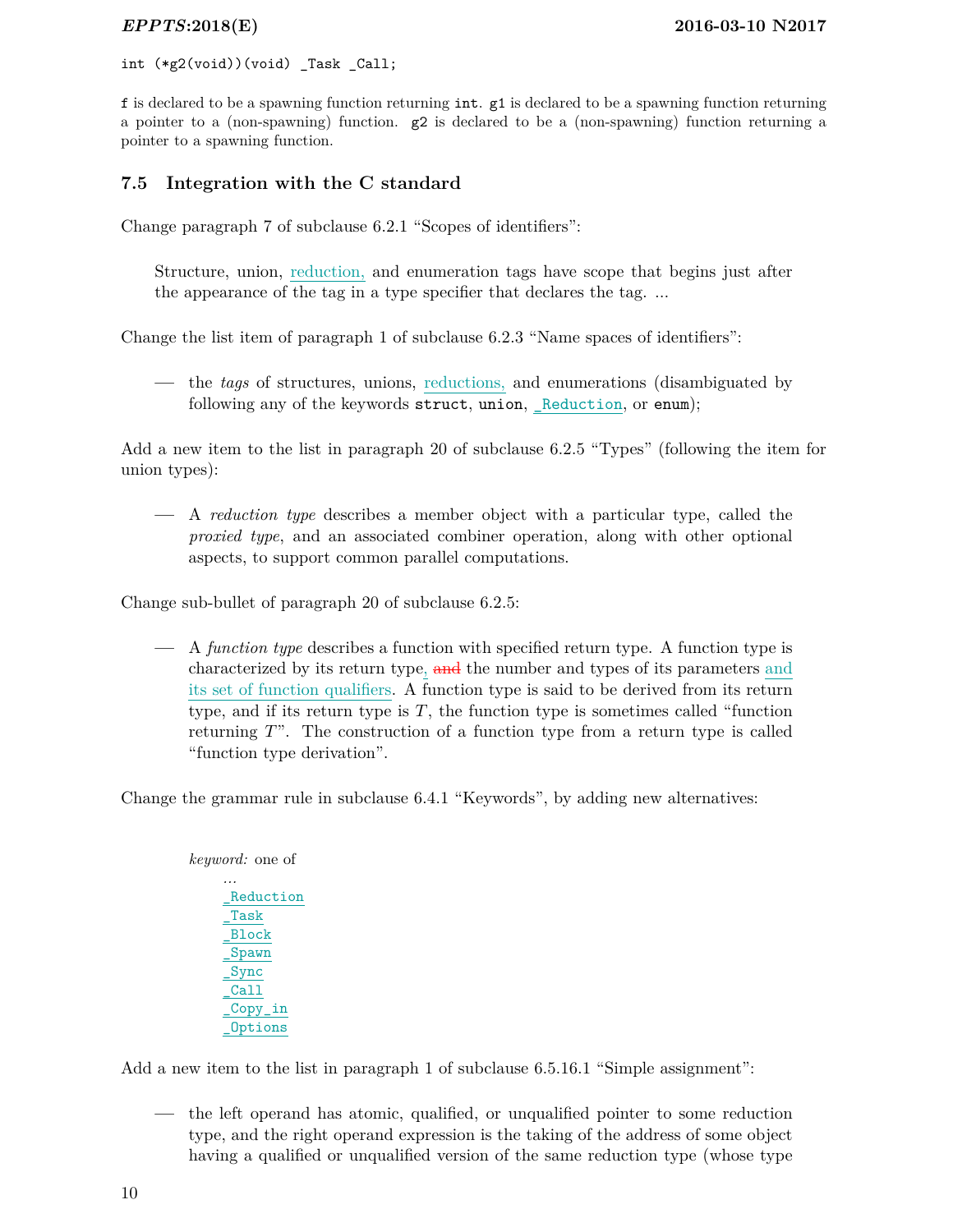<span id="page-15-1"></span>int (\*g2(void))(void) \_Task \_Call;

f is declared to be a spawning function returning int. g1 is declared to be a spawning function returning a pointer to a (non-spawning) function. g2 is declared to be a (non-spawning) function returning a pointer to a spawning function.

#### <span id="page-15-0"></span>**7.5 Integration with the C standard**

Change paragraph 7 of subclause 6.2.1 "Scopes of identifiers":

Structure, union, reduction, and enumeration tags have scope that begins just after the appearance of the tag in a type specifier that declares the tag. ...

Change the list item of paragraph 1 of subclause 6.2.3 "Name spaces of identifiers":

**—** the *tags* of structures, unions, reductions, and enumerations (disambiguated by following any of the keywords struct, union, Reduction, or enum);

Add a new item to the list in paragraph 20 of subclause 6.2.5 "Types" (following the item for union types):

**—** A *reduction type* describes a member object with a particular type, called the *proxied type*, and an associated combiner operation, along with other optional aspects, to support common parallel computations.

Change sub-bullet of paragraph 20 of subclause 6.2.5:

**—** A *function type* describes a function with specified return type. A function type is characterized by its return type, and the number and types of its parameters and its set of function qualifiers. A function type is said to be derived from its return type, and if its return type is  $T$ , the function type is sometimes called "function" returning  $T$ ". The construction of a function type from a return type is called "function type derivation".

Change the grammar rule in subclause 6.4.1 "Keywords", by adding new alternatives:

*keyword:* one of \_Reduction \_Task \_Block \_Spawn \_Sync \_Call \_Copy\_in \_Options

Add a new item to the list in paragraph 1 of subclause 6.5.16.1 "Simple assignment":

**—** the left operand has atomic, qualified, or unqualified pointer to some reduction type, and the right operand expression is the taking of the address of some object having a qualified or unqualified version of the same reduction type (whose type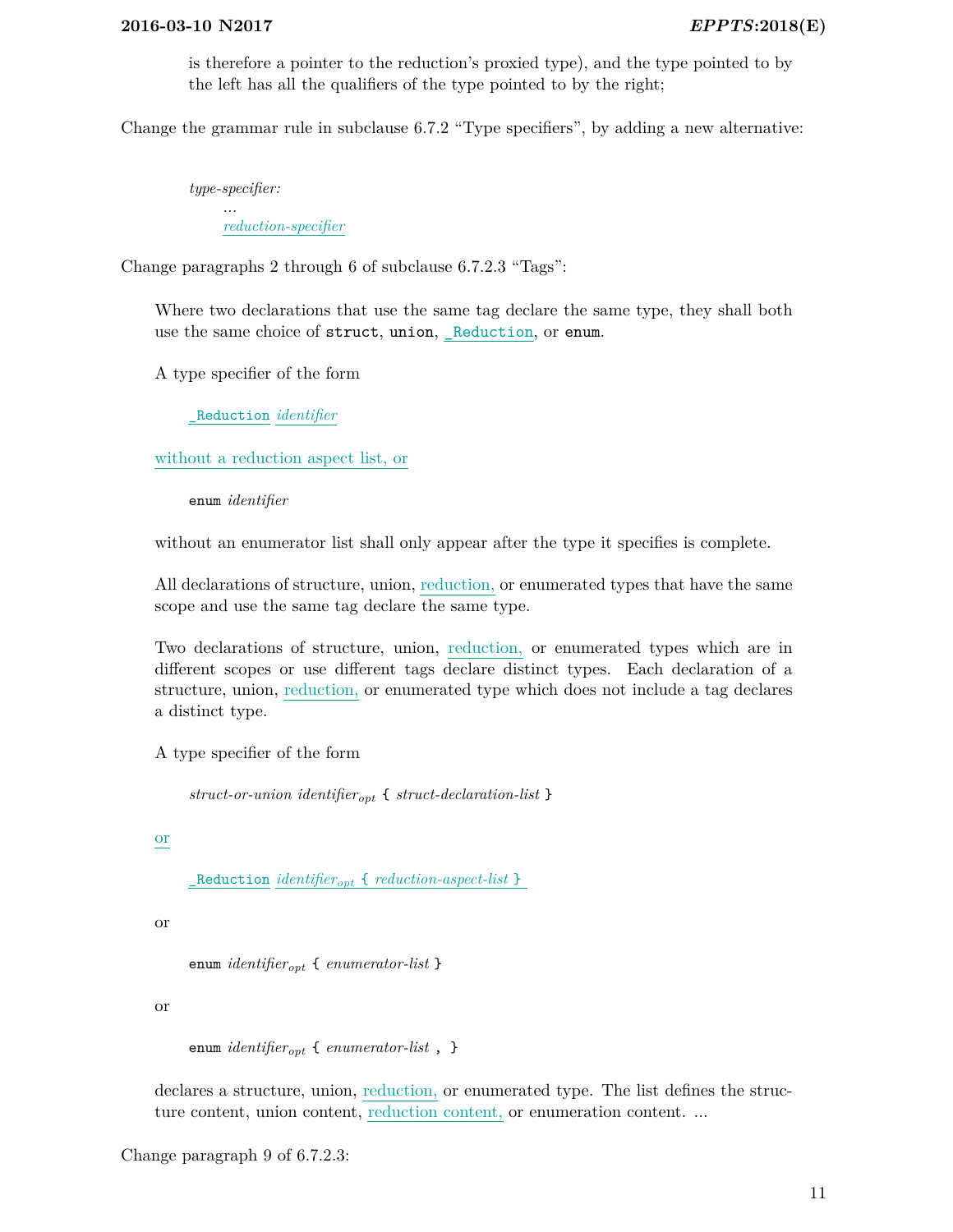is therefore a pointer to the reduction's proxied type), and the type pointed to by the left has all the qualifiers of the type pointed to by the right;

Change the grammar rule in subclause 6.7.2 "Type specifiers", by adding a new alternative:

*type-specifier: ... reduction-specifier*

Change paragraphs 2 through 6 of subclause 6.7.2.3 "Tags":

Where two declarations that use the same tag declare the same type, they shall both use the same choice of struct, union, \_Reduction, or enum.

A type specifier of the form

\_Reduction *identifier*

without a reduction aspect list, or

enum *identifier*

without an enumerator list shall only appear after the type it specifies is complete.

All declarations of structure, union, reduction, or enumerated types that have the same scope and use the same tag declare the same type.

Two declarations of structure, union, reduction, or enumerated types which are in different scopes or use different tags declare distinct types. Each declaration of a structure, union, reduction, or enumerated type which does not include a tag declares a distinct type.

A type specifier of the form

*struct-or-union identifieropt* { *struct-declaration-list* }

or

\_Reduction *identifieropt* { *reduction-aspect-list* }

or

enum *identifieropt* { *enumerator-list* }

or

enum *identifieropt* { *enumerator-list* , }

declares a structure, union, reduction, or enumerated type. The list defines the structure content, union content, reduction content, or enumeration content. ...

Change paragraph 9 of 6.7.2.3: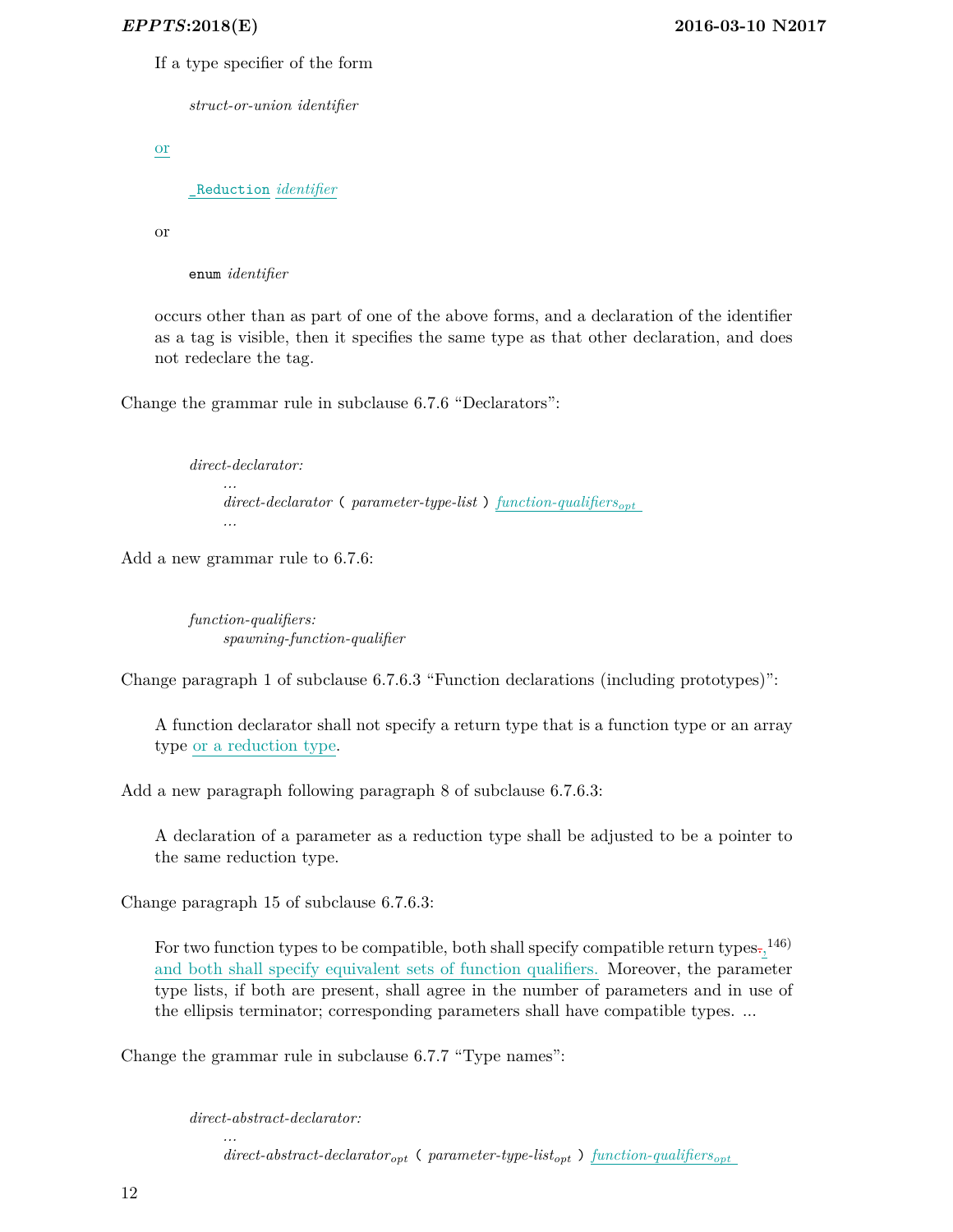If a type specifier of the form

*struct-or-union identifier*

or

\_Reduction *identifier*

or

enum *identifier*

occurs other than as part of one of the above forms, and a declaration of the identifier as a tag is visible, then it specifies the same type as that other declaration, and does not redeclare the tag.

Change the grammar rule in subclause 6.7.6 "Declarators":

*direct-declarator: direct-declarator* ( *parameter-type-list* ) *function-qualifiersopt*

Add a new grammar rule to 6.7.6:

*...*

*function-qualifiers: spawning-function-qualifier*

Change paragraph 1 of subclause 6.7.6.3 "Function declarations (including prototypes)":

A function declarator shall not specify a return type that is a function type or an array type or a reduction type.

Add a new paragraph following paragraph 8 of subclause 6.7.6.3:

A declaration of a parameter as a reduction type shall be adjusted to be a pointer to the same reduction type.

Change paragraph 15 of subclause 6.7.6.3:

For two function types to be compatible, both shall specify compatible return types.,  $^{146)}$ and both shall specify equivalent sets of function qualifiers. Moreover, the parameter type lists, if both are present, shall agree in the number of parameters and in use of the ellipsis terminator; corresponding parameters shall have compatible types. ...

Change the grammar rule in subclause 6.7.7 "Type names":

*direct-abstract-declarator:*

*...*

*direct-abstract-declaratoropt* ( *parameter-type-listopt* ) *function-qualifiersopt*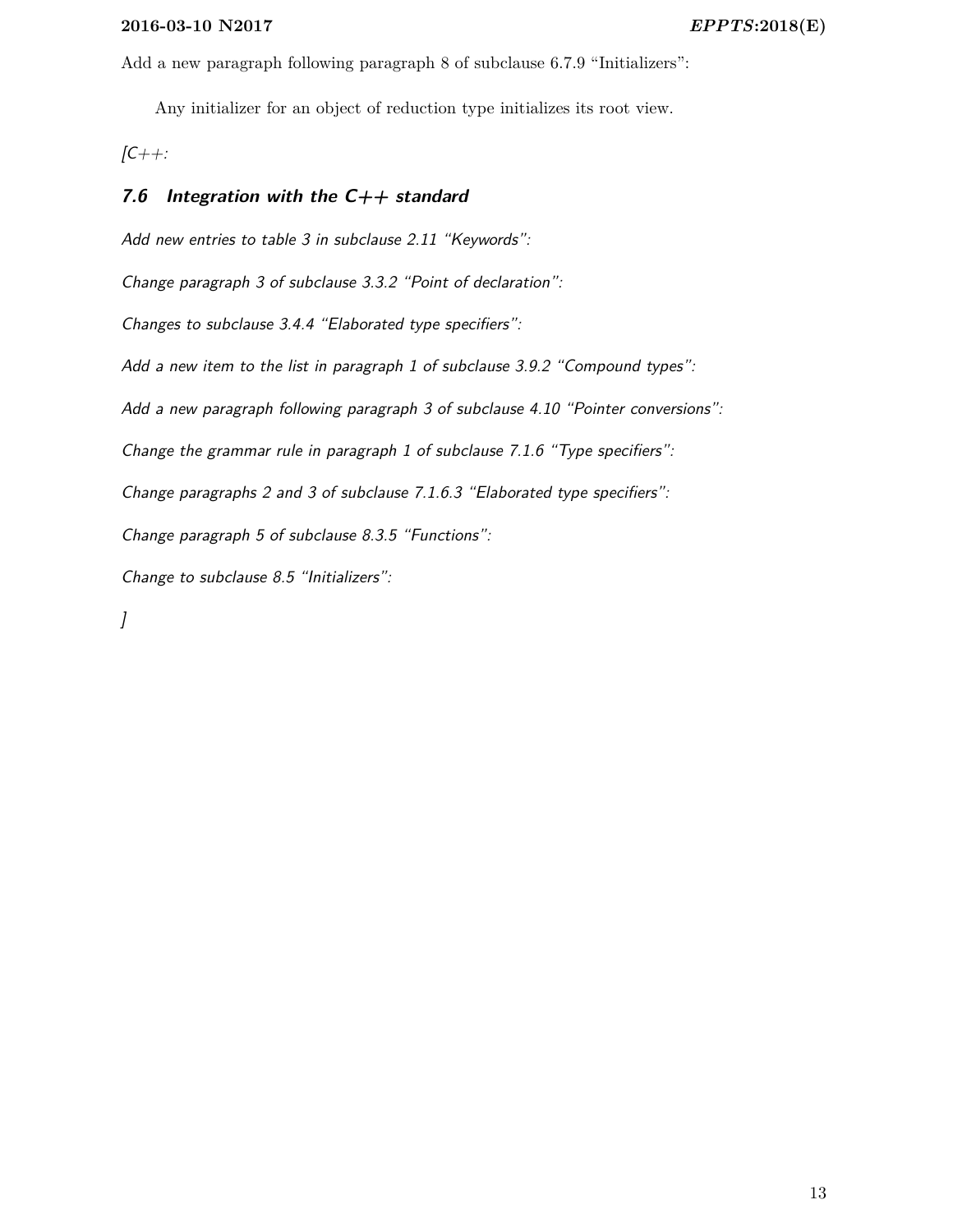#### <span id="page-18-1"></span>**2016-03-10 N2017** *EPPTS***:2018(E)**

Add a new paragraph following paragraph 8 of subclause 6.7.9 "Initializers":

Any initializer for an object of reduction type initializes its root view.

<span id="page-18-0"></span> $|C_{++}:$ 

## **7.6 Integration with the C++ standard**

Add new entries to table 3 in subclause 2.11 "Keywords":

Change paragraph 3 of subclause 3.3.2 "Point of declaration":

Changes to subclause 3.4.4 "Elaborated type specifiers":

Add a new item to the list in paragraph 1 of subclause 3.9.2 "Compound types":

Add a new paragraph following paragraph 3 of subclause 4.10 "Pointer conversions":

Change the grammar rule in paragraph 1 of subclause 7.1.6 "Type specifiers":

Change paragraphs 2 and 3 of subclause 7.1.6.3 "Elaborated type specifiers":

Change paragraph 5 of subclause 8.3.5 "Functions":

Change to subclause 8.5 "Initializers":

]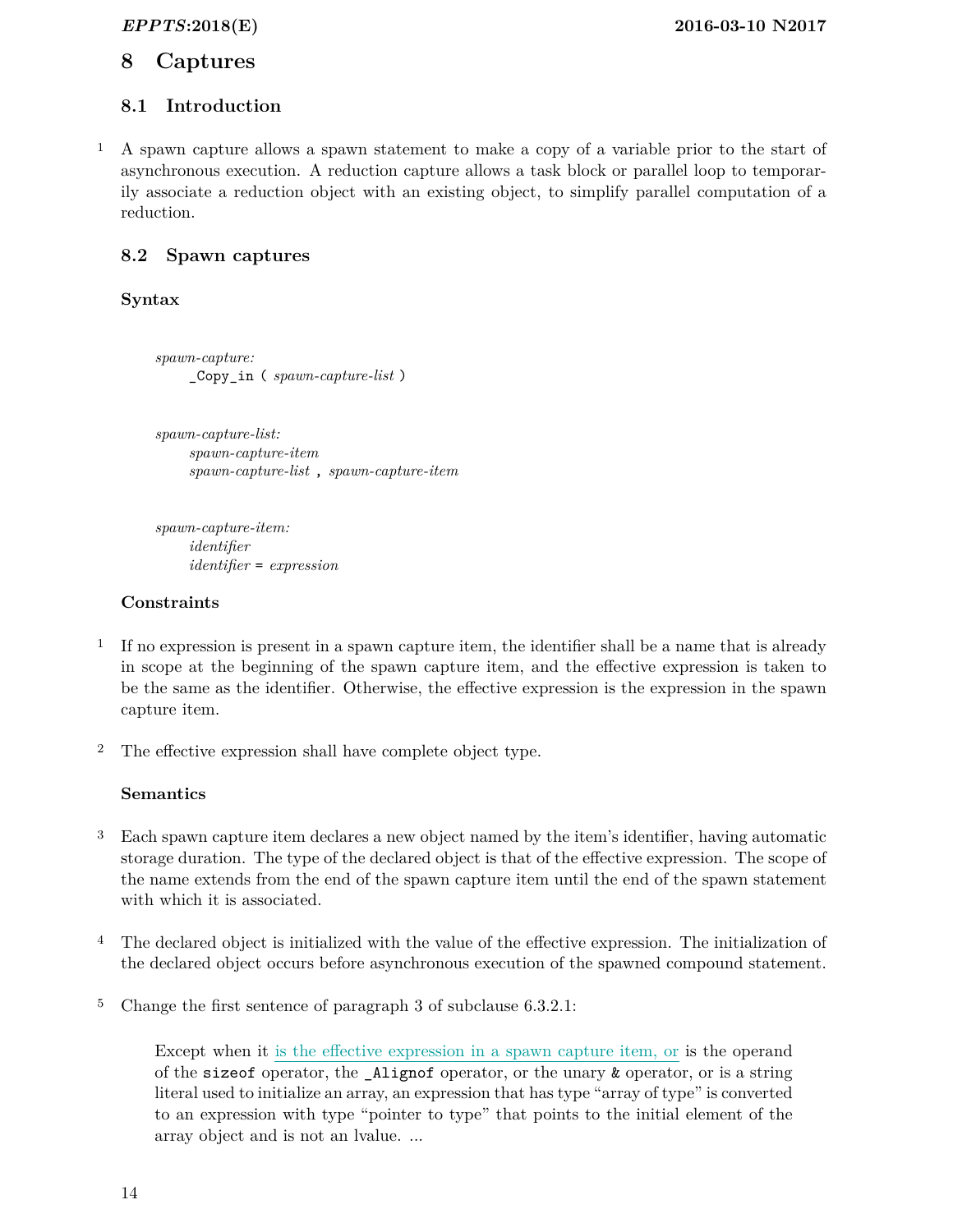# <span id="page-19-3"></span><span id="page-19-1"></span><span id="page-19-0"></span>**8 Captures**

# **8.1 Introduction**

1 A spawn capture allows a spawn statement to make a copy of a variable prior to the start of asynchronous execution. A reduction capture allows a task block or parallel loop to temporarily associate a reduction object with an existing object, to simplify parallel computation of a reduction.

# <span id="page-19-2"></span>**8.2 Spawn captures**

# **Syntax**

*spawn-capture:* \_Copy\_in ( *spawn-capture-list* )

*spawn-capture-list: spawn-capture-item spawn-capture-list* , *spawn-capture-item*

*spawn-capture-item: identifier identifier* = *expression*

# **Constraints**

- <sup>1</sup> If no expression is present in a spawn capture item, the identifier shall be a name that is already in scope at the beginning of the spawn capture item, and the effective expression is taken to be the same as the identifier. Otherwise, the effective expression is the expression in the spawn capture item.
- 2 The effective expression shall have complete object type.

# **Semantics**

- 3 Each spawn capture item declares a new object named by the item's identifier, having automatic storage duration. The type of the declared object is that of the effective expression. The scope of the name extends from the end of the spawn capture item until the end of the spawn statement with which it is associated.
- 4 The declared object is initialized with the value of the effective expression. The initialization of the declared object occurs before asynchronous execution of the spawned compound statement.
- 5 Change the first sentence of paragraph 3 of subclause 6.3.2.1:

Except when it is the effective expression in a spawn capture item, or is the operand of the sizeof operator, the \_Alignof operator, or the unary & operator, or is a string literal used to initialize an array, an expression that has type "array of type" is converted to an expression with type "pointer to type" that points to the initial element of the array object and is not an lvalue. ...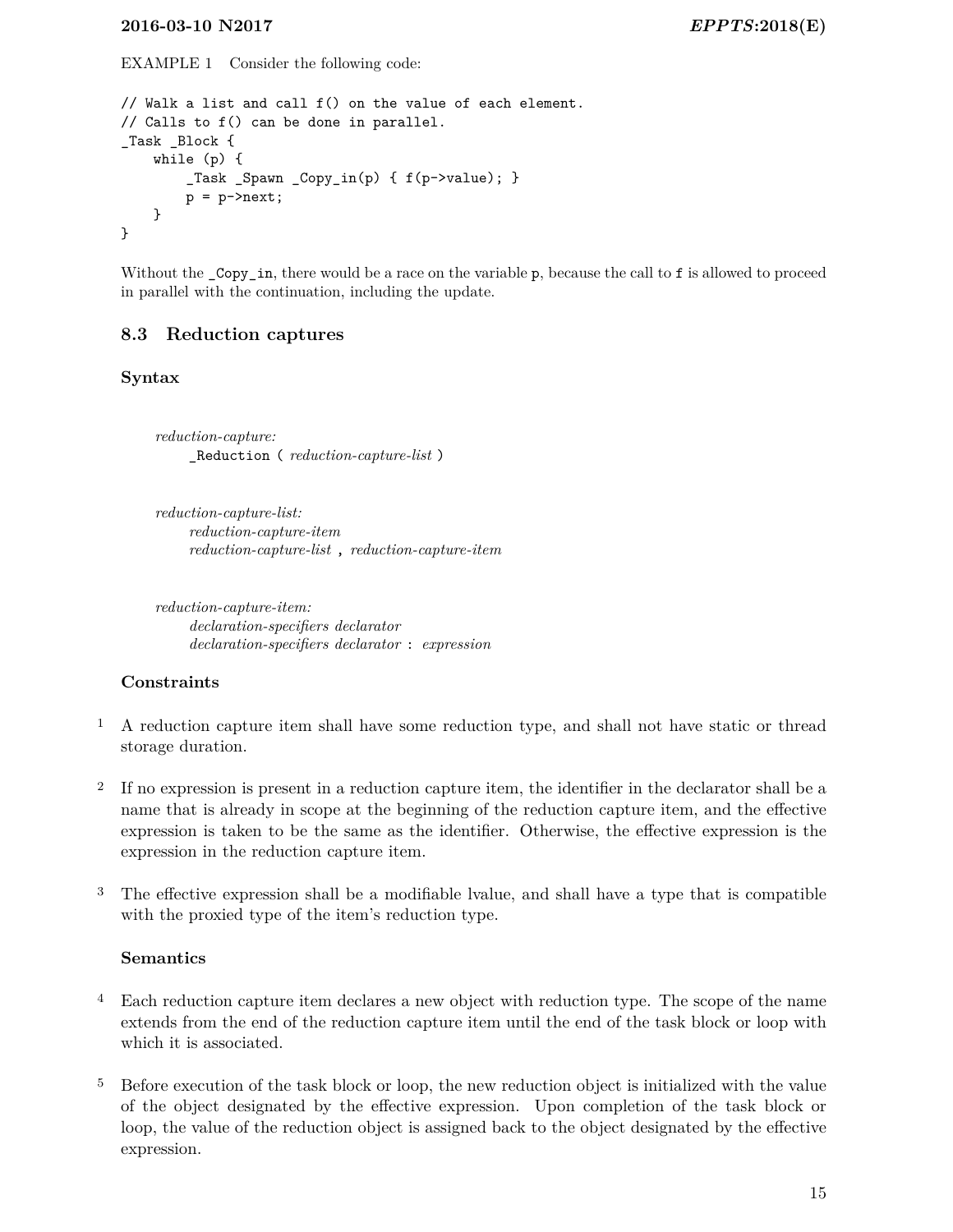<span id="page-20-1"></span>EXAMPLE 1 Consider the following code:

```
// Walk a list and call f() on the value of each element.
// Calls to f() can be done in parallel.
_Task _Block {
    while (p) {
        _Task _Spawn _Copy_in(p) { f(p->value); }
        p = p->next;
    }
}
```
Without the \_Copy\_in, there would be a race on the variable p, because the call to f is allowed to proceed in parallel with the continuation, including the update.

#### <span id="page-20-0"></span>**8.3 Reduction captures**

#### **Syntax**

*reduction-capture:* \_Reduction ( *reduction-capture-list* )

*reduction-capture-list: reduction-capture-item reduction-capture-list* , *reduction-capture-item*

*reduction-capture-item: declaration-specifiers declarator declaration-specifiers declarator* : *expression*

#### **Constraints**

- 1 A reduction capture item shall have some reduction type, and shall not have static or thread storage duration.
- 2 If no expression is present in a reduction capture item, the identifier in the declarator shall be a name that is already in scope at the beginning of the reduction capture item, and the effective expression is taken to be the same as the identifier. Otherwise, the effective expression is the expression in the reduction capture item.
- 3 The effective expression shall be a modifiable lvalue, and shall have a type that is compatible with the proxied type of the item's reduction type.

#### **Semantics**

- 4 Each reduction capture item declares a new object with reduction type. The scope of the name extends from the end of the reduction capture item until the end of the task block or loop with which it is associated.
- <sup>5</sup> Before execution of the task block or loop, the new reduction object is initialized with the value of the object designated by the effective expression. Upon completion of the task block or loop, the value of the reduction object is assigned back to the object designated by the effective expression.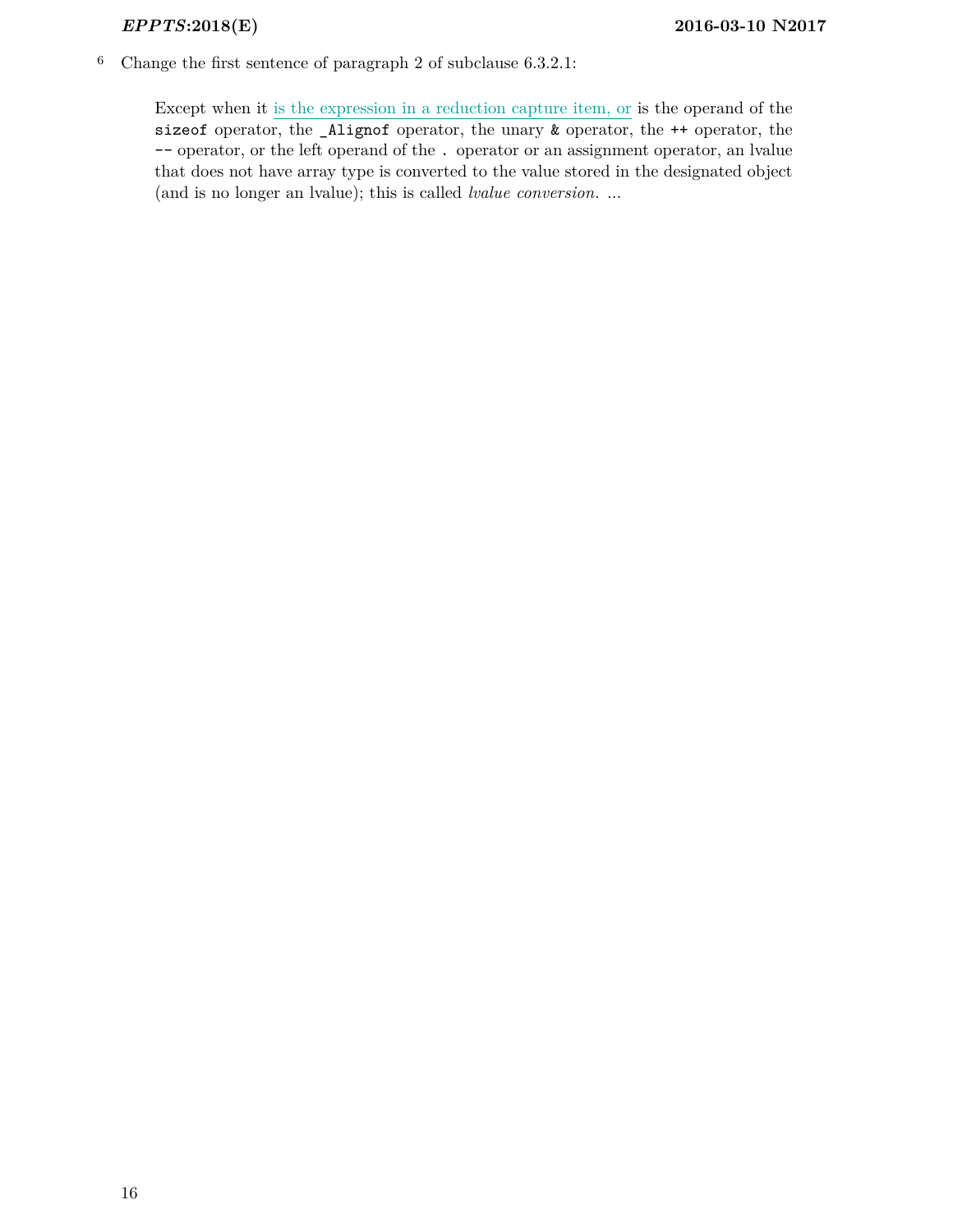<span id="page-21-0"></span>6 Change the first sentence of paragraph 2 of subclause 6.3.2.1:

Except when it is the expression in a reduction capture item, or is the operand of the sizeof operator, the \_Alignof operator, the unary & operator, the ++ operator, the -- operator, or the left operand of the . operator or an assignment operator, an lvalue that does not have array type is converted to the value stored in the designated object (and is no longer an lvalue); this is called *lvalue conversion*. ...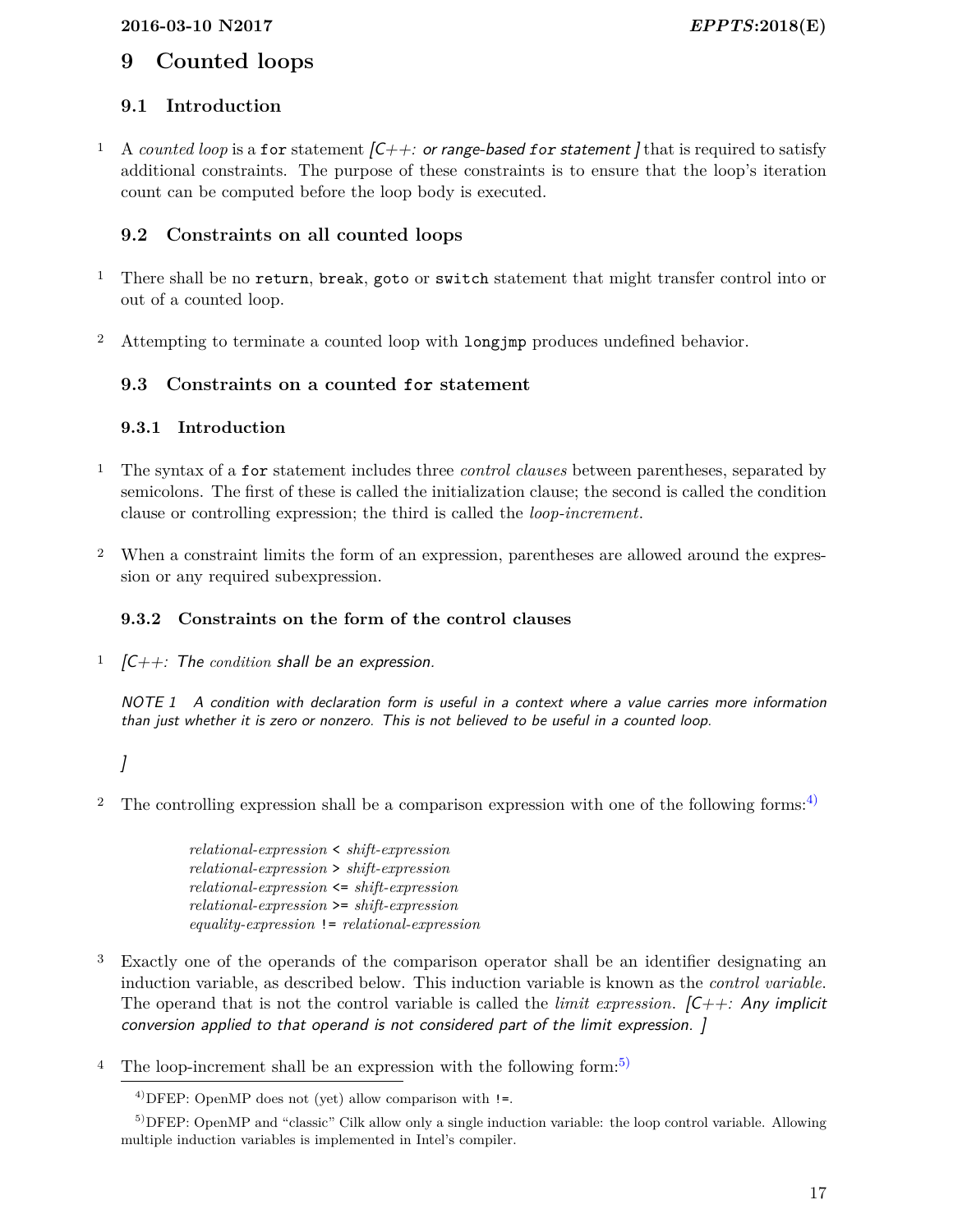# <span id="page-22-1"></span><span id="page-22-0"></span>**9 Counted loops**

# **9.1 Introduction**

<sup>1</sup> A *counted loop* is a for statement  $|C|$  *C++:* or range-based for statement *l* that is required to satisfy additional constraints. The purpose of these constraints is to ensure that the loop's iteration count can be computed before the loop body is executed.

# <span id="page-22-2"></span>**9.2 Constraints on all counted loops**

- <sup>1</sup> There shall be no return, break, goto or switch statement that might transfer control into or out of a counted loop.
- 2 Attempting to terminate a counted loop with longjmp produces undefined behavior.

# <span id="page-22-4"></span><span id="page-22-3"></span>**9.3 Constraints on a counted for statement**

# **9.3.1 Introduction**

- 1 The syntax of a for statement includes three *control clauses* between parentheses, separated by semicolons. The first of these is called the initialization clause; the second is called the condition clause or controlling expression; the third is called the *loop-increment*.
- 2 When a constraint limits the form of an expression, parentheses are allowed around the expression or any required subexpression.

# <span id="page-22-5"></span>**9.3.2 Constraints on the form of the control clauses**

1 [C++: The *condition* shall be an expression.

NOTE 1 A condition with declaration form is useful in a context where a value carries more information than just whether it is zero or nonzero. This is not believed to be useful in a counted loop.

- ]
- <sup>2</sup> The controlling expression shall be a comparison expression with one of the following forms:<sup>[4\)](#page-22-6)</sup>

*relational-expression* < *shift-expression relational-expression* > *shift-expression relational-expression* <= *shift-expression relational-expression* >= *shift-expression equality-expression* != *relational-expression*

- 3 Exactly one of the operands of the comparison operator shall be an identifier designating an induction variable, as described below. This induction variable is known as the *control variable*. The operand that is not the control variable is called the *limit expression.*  $[*C*+*+*: Any implicit$ conversion applied to that operand is not considered part of the limit expression. ]
- <sup>4</sup> The loop-increment shall be an expression with the following form:<sup>[5\)](#page-22-7)</sup>

<span id="page-22-7"></span><span id="page-22-6"></span> $^{4)}$ DFEP: OpenMP does not (yet) allow comparison with  $!=$ .

<sup>&</sup>lt;sup>5)</sup>DFEP: OpenMP and "classic" Cilk allow only a single induction variable: the loop control variable. Allowing multiple induction variables is implemented in Intel's compiler.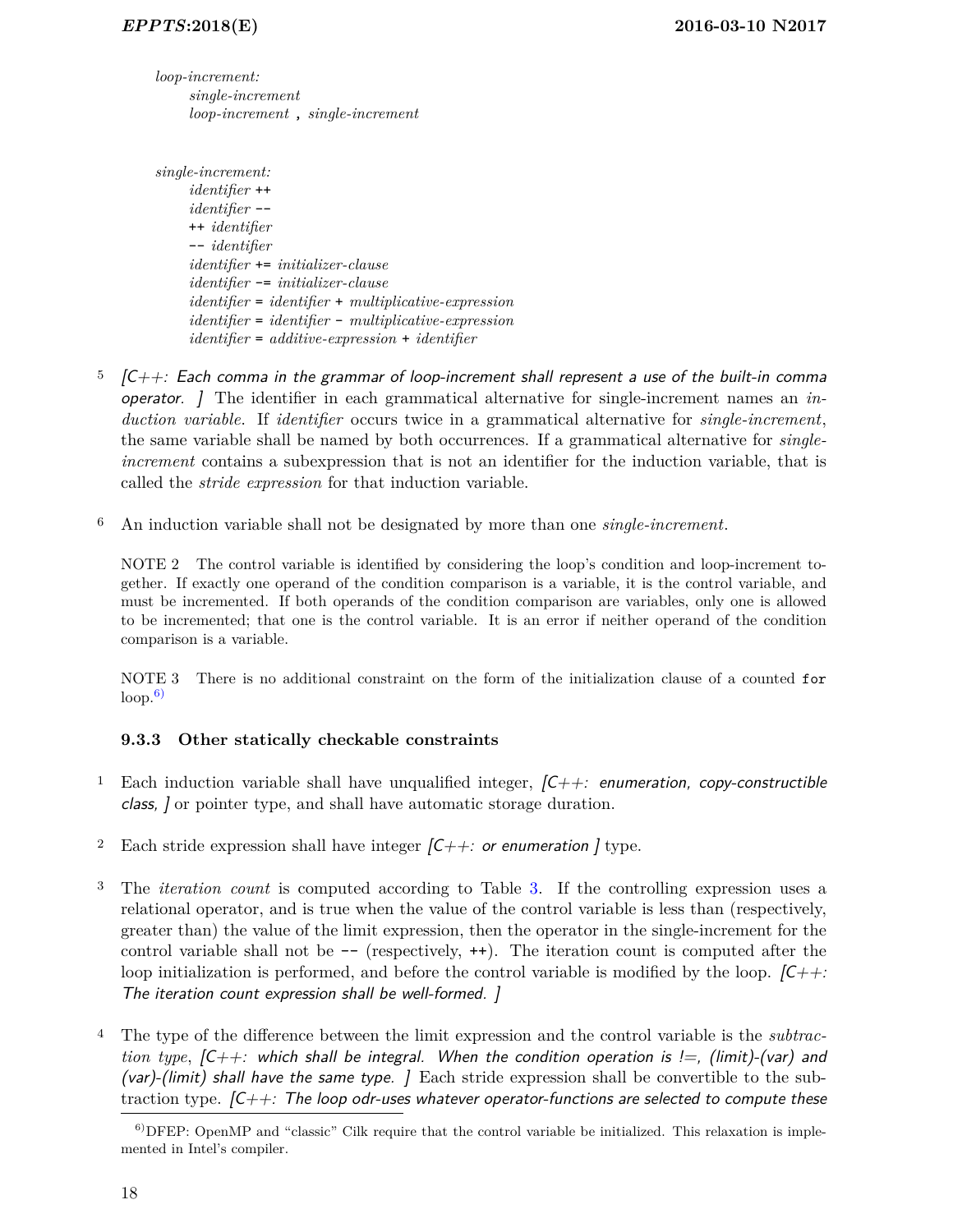*loop-increment: single-increment loop-increment* , *single-increment*

*single-increment: identifier* ++ *identifier* -- ++ *identifier* -- *identifier identifier* += *initializer-clause identifier* -= *initializer-clause identifier* = *identifier* + *multiplicative-expression identifier* = *identifier* - *multiplicative-expression identifier* = *additive-expression* + *identifier*

- $5$   $\sqrt{C++}$ : Each comma in the grammar of loop-increment shall represent a use of the built-in comma operator. ] The identifier in each grammatical alternative for single-increment names an *induction variable*. If *identifier* occurs twice in a grammatical alternative for *single-increment*, the same variable shall be named by both occurrences. If a grammatical alternative for *singleincrement* contains a subexpression that is not an identifier for the induction variable, that is called the *stride expression* for that induction variable.
- 6 An induction variable shall not be designated by more than one *single-increment*.

NOTE 2 The control variable is identified by considering the loop's condition and loop-increment together. If exactly one operand of the condition comparison is a variable, it is the control variable, and must be incremented. If both operands of the condition comparison are variables, only one is allowed to be incremented; that one is the control variable. It is an error if neither operand of the condition comparison is a variable.

NOTE 3 There is no additional constraint on the form of the initialization clause of a counted for  $loop<sup>6</sup>$ 

# <span id="page-23-0"></span>**9.3.3 Other statically checkable constraints**

- <sup>1</sup> Each induction variable shall have unqualified integer,  $\mathcal{C}_{++}$ : enumeration, copy-constructible class, ] or pointer type, and shall have automatic storage duration.
- Each stride expression shall have integer  $|C| + \epsilon$ : or enumeration l type.
- 3 The *iteration count* is computed according to Table [3.](#page-24-1) If the controlling expression uses a relational operator, and is true when the value of the control variable is less than (respectively, greater than) the value of the limit expression, then the operator in the single-increment for the control variable shall not be  $-$  (respectively,  $++$ ). The iteration count is computed after the loop initialization is performed, and before the control variable is modified by the loop.  $(C^+ + \mathcal{E})$ The iteration count expression shall be well-formed. ]
- 4 The type of the difference between the limit expression and the control variable is the *subtraction type*, [C++: which shall be integral. When the condition operation is !=, (limit)-(var) and (var)-(limit) shall have the same type.  $\int$  Each stride expression shall be convertible to the subtraction type.  $C_{++}$ : The loop odr-uses whatever operator-functions are selected to compute these

<span id="page-23-1"></span> $6$ )DFEP: OpenMP and "classic" Cilk require that the control variable be initialized. This relaxation is implemented in Intel's compiler.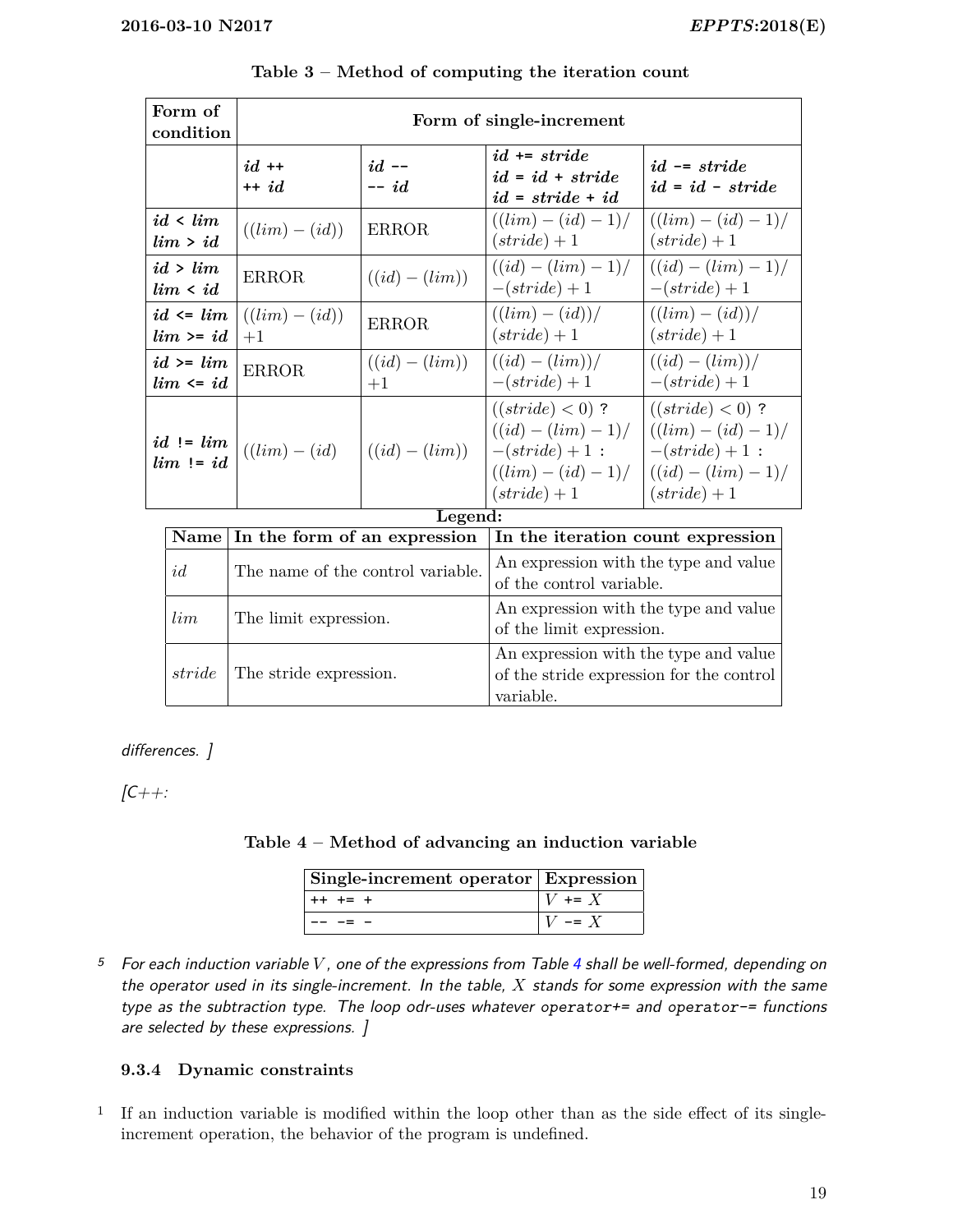<span id="page-24-3"></span>

|                                                               | Form of<br>condition           | Form of single-increment          |                        |                                                                                                                               |                                                                                                                                |  |  |  |  |  |  |  |
|---------------------------------------------------------------|--------------------------------|-----------------------------------|------------------------|-------------------------------------------------------------------------------------------------------------------------------|--------------------------------------------------------------------------------------------------------------------------------|--|--|--|--|--|--|--|
|                                                               |                                | $id +$<br>$++id$                  | $id -$<br>$--id$       | $id \equiv stride$<br>$id = id + stride$<br>$id = stride + id$                                                                | $id - = stride$<br>$id = id - stride$                                                                                          |  |  |  |  |  |  |  |
|                                                               | id < lim<br>lim > id           | $((lim)-(id))$                    | <b>ERROR</b>           | $((lim) - (id) - 1)$<br>$(\text{stride}) + 1$                                                                                 | $((lim) - (id) - 1)$ /<br>$(\textit{stride}) + 1$                                                                              |  |  |  |  |  |  |  |
|                                                               | id > lim<br>lim < id           | <b>ERROR</b>                      | $((id)-(lim))$         | $((id)-(lim) - 1)/$<br>$-(\text{stride}) + 1$                                                                                 | $((id)-(lim) - 1)$<br>$-(\text{stride}) + 1$                                                                                   |  |  |  |  |  |  |  |
| $id \leq lim$<br>$lim \ge id$<br>$id \ge lim$<br>$lim \le id$ |                                | $((lim) - (id))$<br>$+1$          | <b>ERROR</b>           | $((lim)-(id))/$<br>$(\textit{stride}) + 1$                                                                                    | $((lim)-(id))/$<br>$(\text{stride}) + 1$                                                                                       |  |  |  |  |  |  |  |
|                                                               |                                | <b>ERROR</b>                      | $((id)-(lim))$<br>$+1$ | $((id)-(lim))$<br>$-(\text{stride}) + 1$                                                                                      | $((id)-(lim))$<br>$-(\text{stride}) + 1$                                                                                       |  |  |  |  |  |  |  |
|                                                               | $id$ != $lim$<br>$lim$ != $id$ | $((lim) - (id))$                  | $((id)-(lim))$         | $((\text{stride}) < 0)$ ?<br>$((id)-(lim) - 1)/$<br>$-(\text{stride}) + 1$ :<br>$((lim) - (id) - 1)$<br>$(\text{stride}) + 1$ | $((\text{stride}) < 0)$ ?<br>$((lim) - (id) - 1)$ /<br>$-(\text{stride}) + 1$ :<br>$((id)-(lim) - 1)$<br>$(\text{stride}) + 1$ |  |  |  |  |  |  |  |
|                                                               |                                |                                   | Legend:                |                                                                                                                               |                                                                                                                                |  |  |  |  |  |  |  |
|                                                               | Name                           | In the form of an expression      |                        | In the iteration count expression                                                                                             |                                                                                                                                |  |  |  |  |  |  |  |
|                                                               | id                             | The name of the control variable. |                        | An expression with the type and value<br>of the control variable.                                                             |                                                                                                                                |  |  |  |  |  |  |  |
|                                                               | $\lim$                         | The limit expression.             |                        | An expression with the type and value<br>of the limit expression.                                                             |                                                                                                                                |  |  |  |  |  |  |  |
|                                                               | stride                         | The stride expression.            |                        | An expression with the type and value<br>of the stride expression for the control                                             |                                                                                                                                |  |  |  |  |  |  |  |

<span id="page-24-1"></span>

|  |  |  | Table $3$ – Method of computing the iteration count |  |  |  |
|--|--|--|-----------------------------------------------------|--|--|--|
|--|--|--|-----------------------------------------------------|--|--|--|

differences. ]

 $|C++:$ 

variable.

<span id="page-24-2"></span>

| Single-increment operator Expression |                      |
|--------------------------------------|----------------------|
| $+ + + = +$                          | $\iota V \dashv = X$ |
|                                      | $V = X$              |

 $5$  For each induction variable V, one of the expressions from Table [4](#page-24-2) shall be well-formed, depending on the operator used in its single-increment. In the table,  $X$  stands for some expression with the same type as the subtraction type. The loop odr-uses whatever operator+= and operator-= functions are selected by these expressions. ]

# <span id="page-24-0"></span>**9.3.4 Dynamic constraints**

1 If an induction variable is modified within the loop other than as the side effect of its singleincrement operation, the behavior of the program is undefined.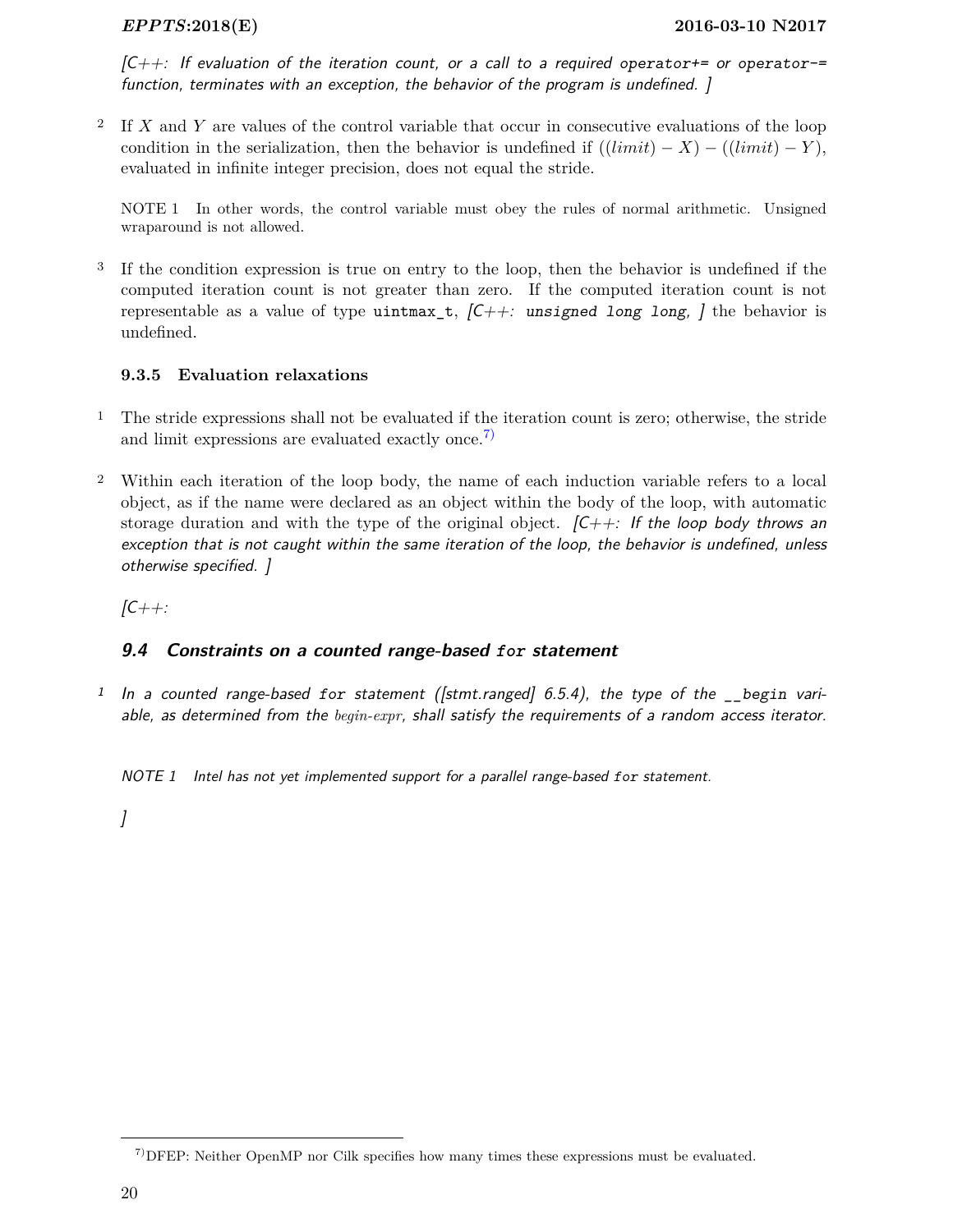<span id="page-25-3"></span> $[C++:$  If evaluation of the iteration count, or a call to a required operator+= or operator-= function, terminates with an exception, the behavior of the program is undefined. ]

2 If X and Y are values of the control variable that occur in consecutive evaluations of the loop condition in the serialization, then the behavior is undefined if  $((limit) - X) - ((limit) - Y)$ , evaluated in infinite integer precision, does not equal the stride.

NOTE 1 In other words, the control variable must obey the rules of normal arithmetic. Unsigned wraparound is not allowed.

3 If the condition expression is true on entry to the loop, then the behavior is undefined if the computed iteration count is not greater than zero. If the computed iteration count is not representable as a value of type uintmax<sub>\_t</sub>,  $|C++\rangle$  unsigned long long, *l* the behavior is undefined.

## <span id="page-25-0"></span>**9.3.5 Evaluation relaxations**

- 1 The stride expressions shall not be evaluated if the iteration count is zero; otherwise, the stride and limit expressions are evaluated exactly once.<sup>[7\)](#page-25-2)</sup>
- 2 Within each iteration of the loop body, the name of each induction variable refers to a local object, as if the name were declared as an object within the body of the loop, with automatic storage duration and with the type of the original object.  $C++$ : If the loop body throws an exception that is not caught within the same iteration of the loop, the behavior is undefined, unless otherwise specified. ]

<span id="page-25-1"></span> $|C_{++}:$ 

# **9.4 Constraints on a counted range-based for statement**

<sup>1</sup> In a counted range-based for statement ([stmt.ranged]  $6.5.4$ ), the type of the  $\Box$ begin variable, as determined from the *begin-expr*, shall satisfy the requirements of a random access iterator.

NOTE 1 Intel has not yet implemented support for a parallel range-based for statement.

 $\int$ 

<span id="page-25-2"></span><sup>&</sup>lt;sup>7</sup>)DFEP: Neither OpenMP nor Cilk specifies how many times these expressions must be evaluated.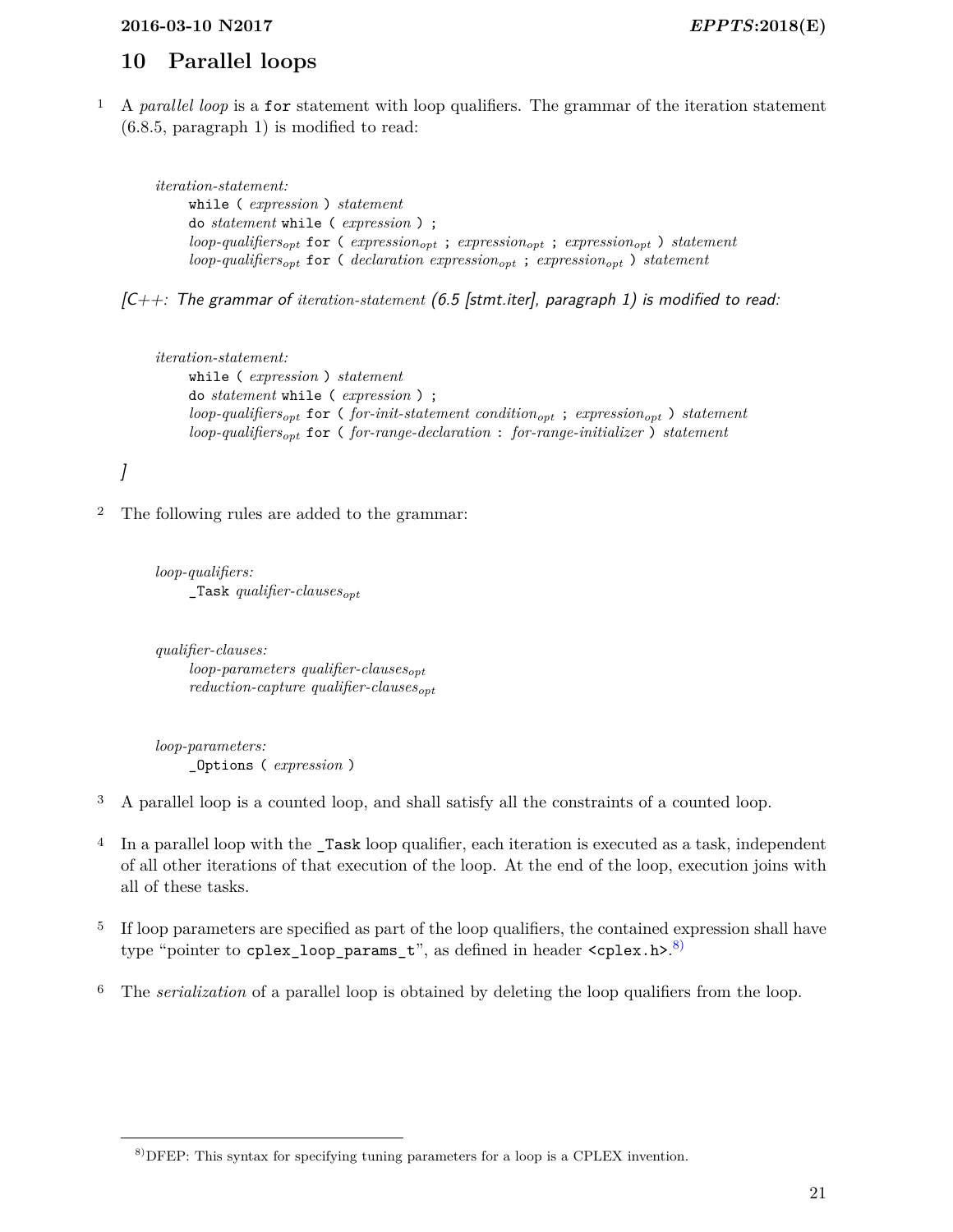# <span id="page-26-2"></span><span id="page-26-0"></span>**10 Parallel loops**

1 A *parallel loop* is a for statement with loop qualifiers. The grammar of the iteration statement (6.8.5, paragraph 1) is modified to read:

```
iteration-statement:
    while ( expression ) statement
    do statement while ( expression ) ;
     loop-qualifiersopt for ( expressionopt ; expressionopt ; expressionopt ) statement
     loop-qualifiersopt for ( declaration expressionopt ; expressionopt ) statement
```
[C++: The grammar of *iteration-statement* (6.5 [stmt.iter], paragraph 1) is modified to read:

```
iteration-statement:
    while ( expression ) statement
    do statement while ( expression ) ;
     loop-qualifiersopt for ( for-init-statement conditionopt ; expressionopt ) statement
    loop-qualifiersopt for ( for-range-declaration : for-range-initializer ) statement
```

```
]
```
2 The following rules are added to the grammar:

*loop-qualifiers:* \_Task *qualifier-clausesopt*

*qualifier-clauses: loop-parameters qualifier-clausesopt reduction-capture qualifier-clausesopt*

*loop-parameters:* \_Options ( *expression* )

3 A parallel loop is a counted loop, and shall satisfy all the constraints of a counted loop.

- 4 In a parallel loop with the \_Task loop qualifier, each iteration is executed as a task, independent of all other iterations of that execution of the loop. At the end of the loop, execution joins with all of these tasks.
- 5 If loop parameters are specified as part of the loop qualifiers, the contained expression shall have type "pointer to <code>cplex\_loop\_params\_t</code>", as defined in header <code><cplex.h></code>. $^{8)}$  $^{8)}$  $^{8)}$
- 6 The *serialization* of a parallel loop is obtained by deleting the loop qualifiers from the loop.

<span id="page-26-1"></span><sup>8)</sup>DFEP: This syntax for specifying tuning parameters for a loop is a CPLEX invention.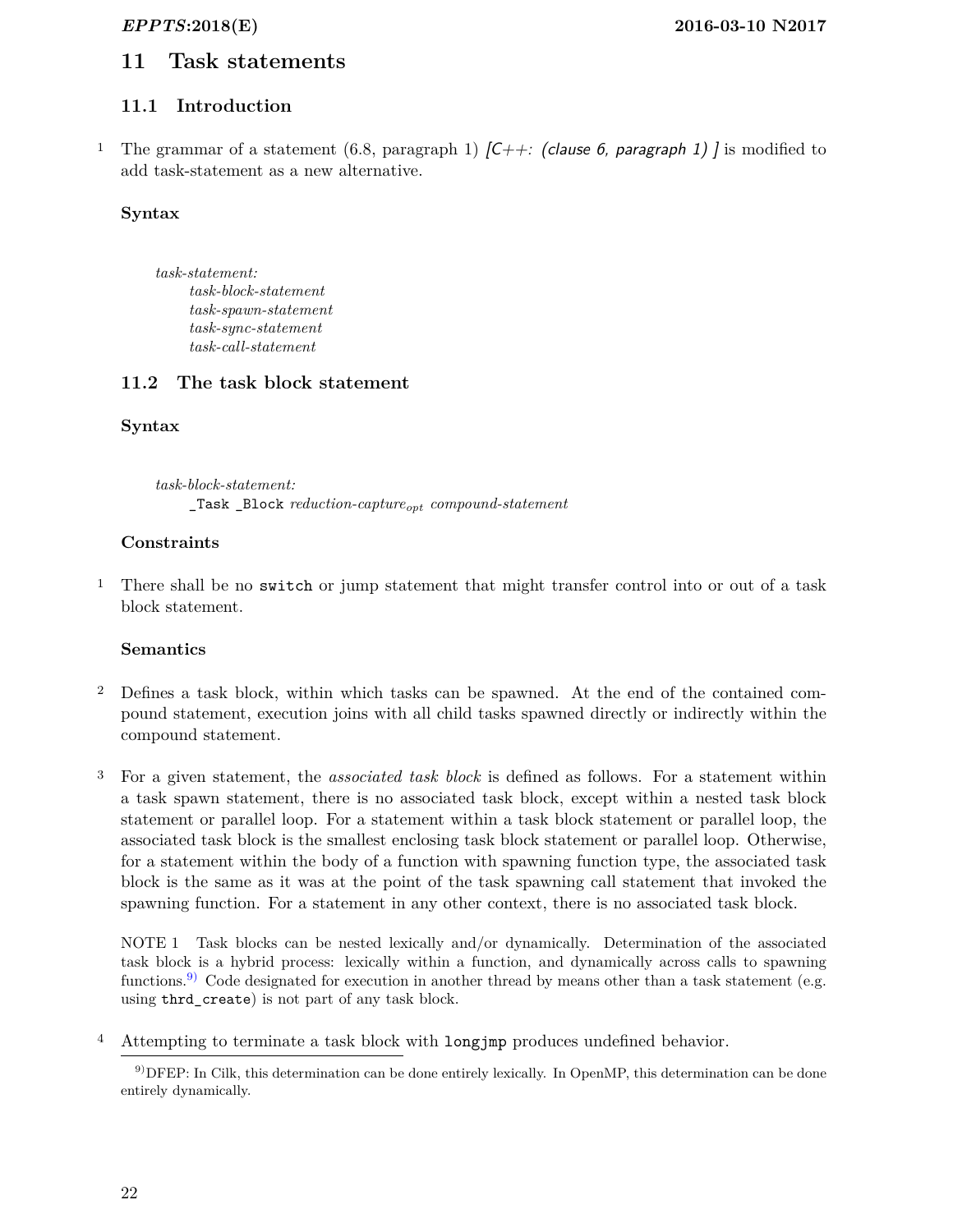# <span id="page-27-4"></span><span id="page-27-1"></span><span id="page-27-0"></span>**11 Task statements**

# **11.1 Introduction**

<sup>1</sup> The grammar of a statement (6.8, paragraph 1)  $|C++$ : (clause 6, paragraph 1) is modified to add task-statement as a new alternative.

# **Syntax**

*task-statement: task-block-statement task-spawn-statement task-sync-statement task-call-statement*

# <span id="page-27-2"></span>**11.2 The task block statement**

# **Syntax**

*task-block-statement:* \_Task \_Block *reduction-captureopt compound-statement*

## **Constraints**

<sup>1</sup> There shall be no switch or jump statement that might transfer control into or out of a task block statement.

## **Semantics**

- 2 Defines a task block, within which tasks can be spawned. At the end of the contained compound statement, execution joins with all child tasks spawned directly or indirectly within the compound statement.
- 3 For a given statement, the *associated task block* is defined as follows. For a statement within a task spawn statement, there is no associated task block, except within a nested task block statement or parallel loop. For a statement within a task block statement or parallel loop, the associated task block is the smallest enclosing task block statement or parallel loop. Otherwise, for a statement within the body of a function with spawning function type, the associated task block is the same as it was at the point of the task spawning call statement that invoked the spawning function. For a statement in any other context, there is no associated task block.

NOTE 1 Task blocks can be nested lexically and/or dynamically. Determination of the associated task block is a hybrid process: lexically within a function, and dynamically across calls to spawning functions.<sup>[9\)](#page-27-3)</sup> Code designated for execution in another thread by means other than a task statement (e.g. using thrd\_create) is not part of any task block.

4 Attempting to terminate a task block with longjmp produces undefined behavior.

<span id="page-27-3"></span><sup>9)</sup>DFEP: In Cilk, this determination can be done entirely lexically. In OpenMP, this determination can be done entirely dynamically.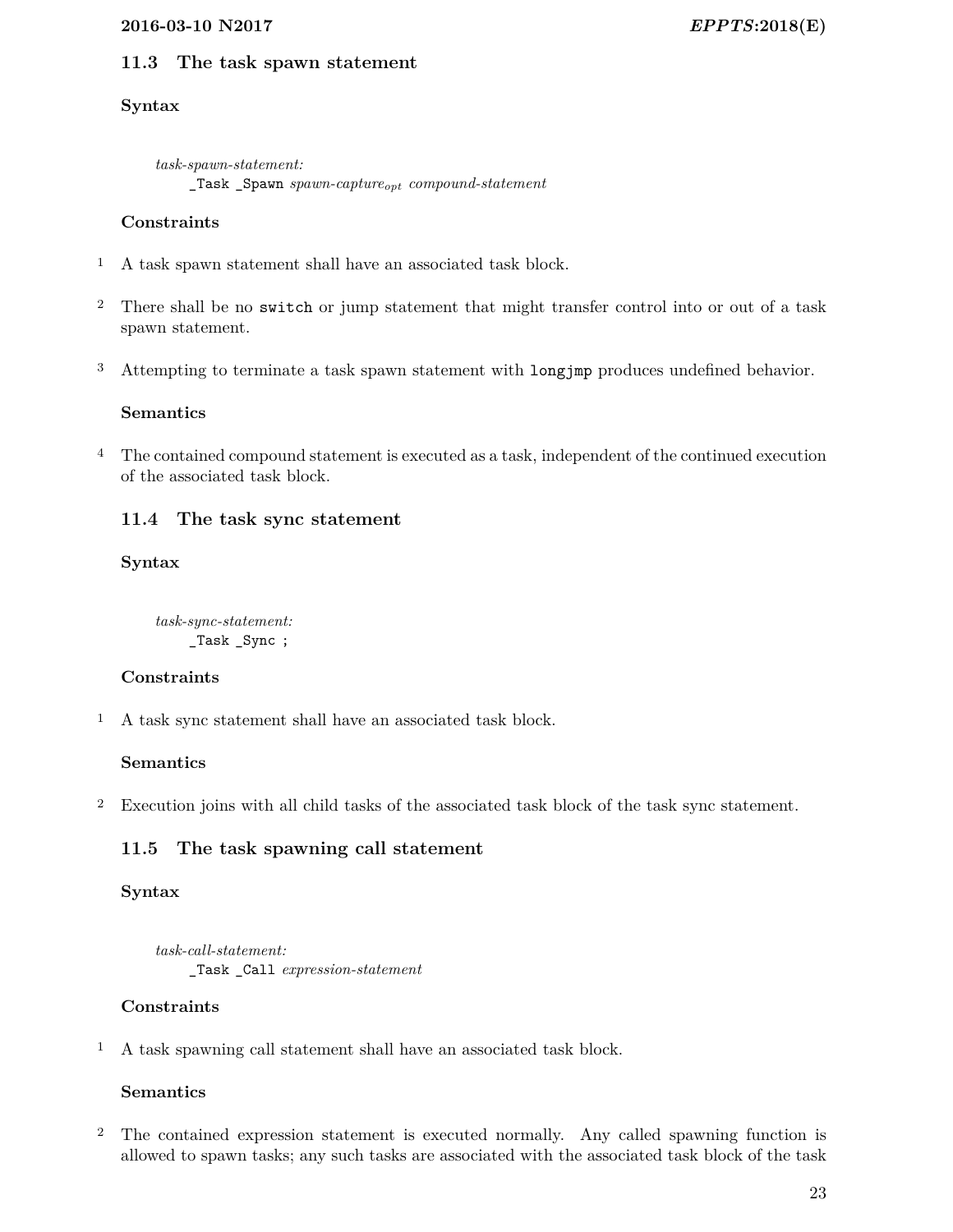#### <span id="page-28-3"></span>**2016-03-10 N2017** *EPPTS***:2018(E)**

#### <span id="page-28-0"></span>**11.3 The task spawn statement**

#### **Syntax**

*task-spawn-statement:* \_Task \_Spawn *spawn-captureopt compound-statement*

#### **Constraints**

- 1 A task spawn statement shall have an associated task block.
- 2 There shall be no switch or jump statement that might transfer control into or out of a task spawn statement.
- 3 Attempting to terminate a task spawn statement with longjmp produces undefined behavior.

#### **Semantics**

4 The contained compound statement is executed as a task, independent of the continued execution of the associated task block.

## <span id="page-28-1"></span>**11.4 The task sync statement**

#### **Syntax**

*task-sync-statement:* \_Task \_Sync ;

#### **Constraints**

1 A task sync statement shall have an associated task block.

## **Semantics**

2 Execution joins with all child tasks of the associated task block of the task sync statement.

## <span id="page-28-2"></span>**11.5 The task spawning call statement**

#### **Syntax**

*task-call-statement:* \_Task \_Call *expression-statement*

## **Constraints**

 $1$  –  $\!$  atask spawning call statement shall have an associated task block.

## **Semantics**

2 The contained expression statement is executed normally. Any called spawning function is allowed to spawn tasks; any such tasks are associated with the associated task block of the task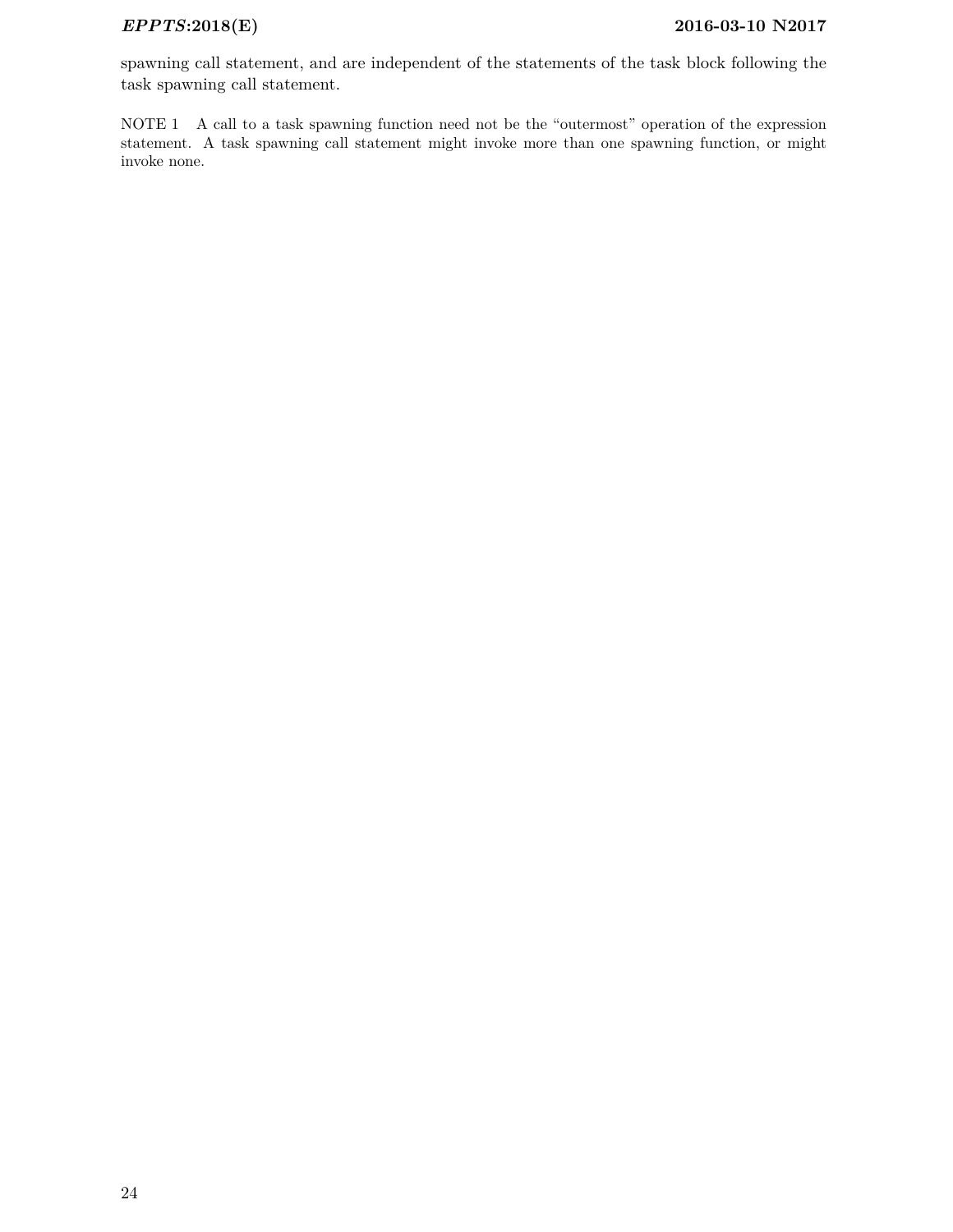<span id="page-29-0"></span>spawning call statement, and are independent of the statements of the task block following the task spawning call statement.

NOTE 1 A call to a task spawning function need not be the "outermost" operation of the expression statement. A task spawning call statement might invoke more than one spawning function, or might invoke none.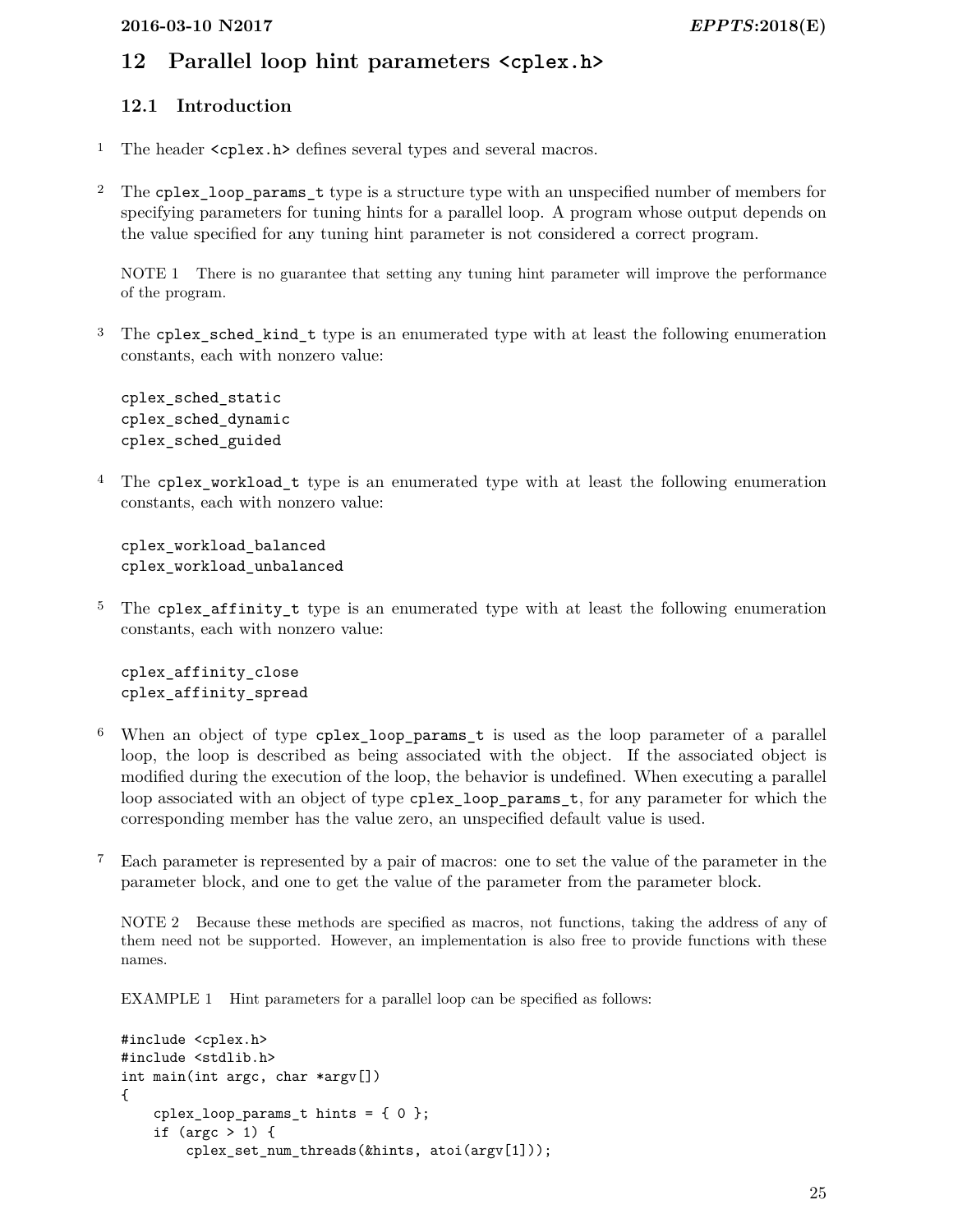# <span id="page-30-2"></span><span id="page-30-1"></span><span id="page-30-0"></span>**12 Parallel loop hint parameters <cplex.h>**

# **12.1 Introduction**

- 1 The header <cplex.h> defines several types and several macros.
- <sup>2</sup> The cplex loop params t type is a structure type with an unspecified number of members for specifying parameters for tuning hints for a parallel loop. A program whose output depends on the value specified for any tuning hint parameter is not considered a correct program.

NOTE 1 There is no guarantee that setting any tuning hint parameter will improve the performance of the program.

3 The cplex\_sched\_kind\_t type is an enumerated type with at least the following enumeration constants, each with nonzero value:

cplex\_sched\_static cplex\_sched\_dynamic cplex\_sched\_guided

4 The cplex\_workload\_t type is an enumerated type with at least the following enumeration constants, each with nonzero value:

cplex\_workload\_balanced cplex\_workload\_unbalanced

<sup>5</sup> The cplex\_affinity\_t type is an enumerated type with at least the following enumeration constants, each with nonzero value:

cplex\_affinity\_close cplex\_affinity\_spread

- 6 When an object of type cplex\_loop\_params\_t is used as the loop parameter of a parallel loop, the loop is described as being associated with the object. If the associated object is modified during the execution of the loop, the behavior is undefined. When executing a parallel loop associated with an object of type cplex\_loop\_params\_t, for any parameter for which the corresponding member has the value zero, an unspecified default value is used.
- 7 Each parameter is represented by a pair of macros: one to set the value of the parameter in the parameter block, and one to get the value of the parameter from the parameter block.

NOTE 2 Because these methods are specified as macros, not functions, taking the address of any of them need not be supported. However, an implementation is also free to provide functions with these names.

EXAMPLE 1 Hint parameters for a parallel loop can be specified as follows:

```
#include <cplex.h>
#include <stdlib.h>
int main(int argc, char *argv[])
{
    cplex_loop_params_t hints = { 0 };
    if (argc > 1) {
        cplex_set_num_threads(&hints, atoi(argv[1]));
```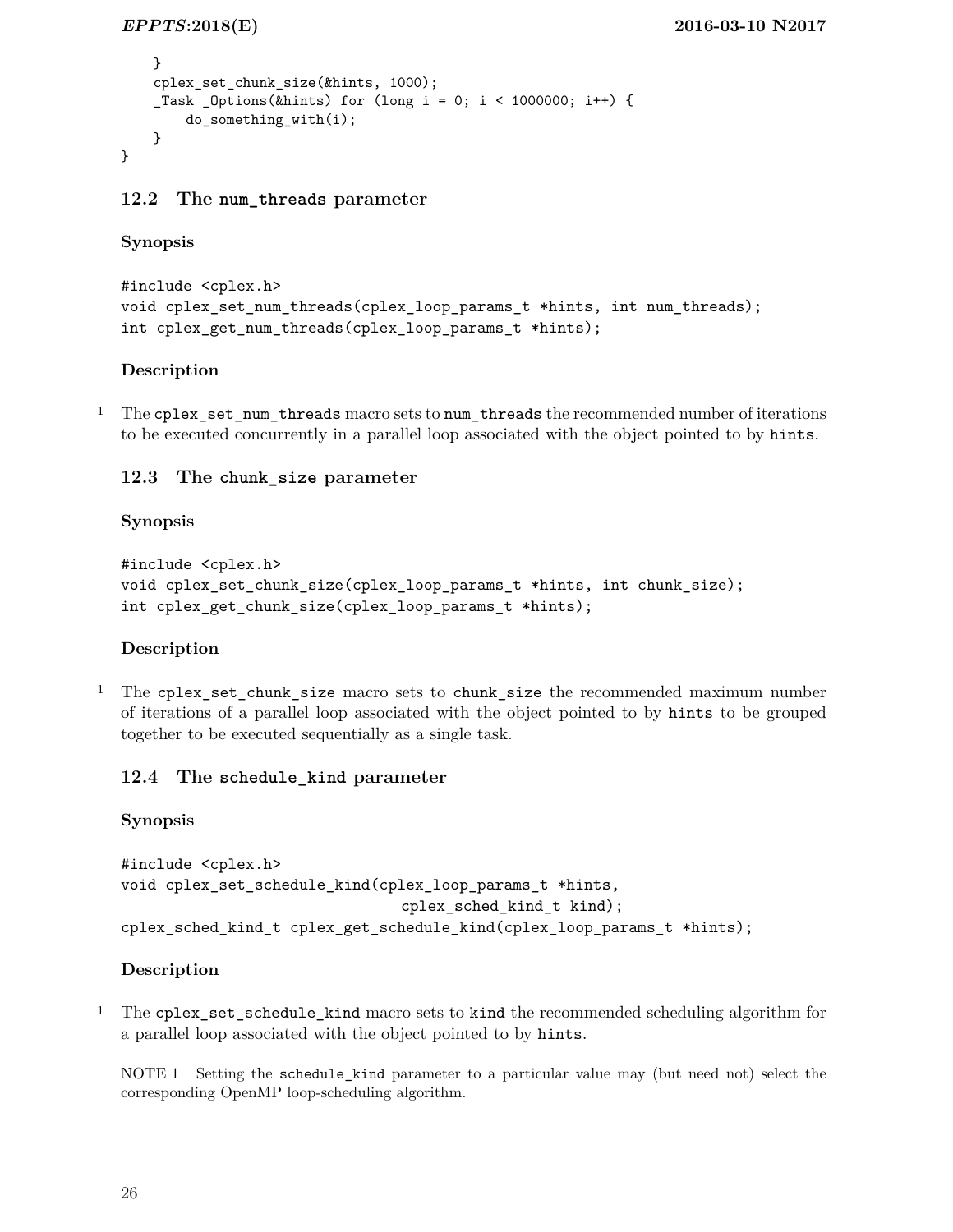```
}
    cplex_set_chunk_size(&hints, 1000);
    _ITask _IOptions(&hints) for (long i = 0; i < 1000000; i++) {
        do_something_with(i);
    }
}
```
## <span id="page-31-0"></span>**12.2 The num\_threads parameter**

#### **Synopsis**

```
#include <cplex.h>
void cplex_set_num_threads(cplex_loop_params_t *hints, int num_threads);
int cplex_get_num_threads(cplex_loop_params_t *hints);
```
#### **Description**

<sup>1</sup> The cplex\_set\_num\_threads macro sets to num\_threads the recommended number of iterations to be executed concurrently in a parallel loop associated with the object pointed to by hints.

## <span id="page-31-1"></span>**12.3 The chunk\_size parameter**

#### **Synopsis**

```
#include <cplex.h>
void cplex_set_chunk_size(cplex_loop_params_t *hints, int chunk_size);
int cplex_get_chunk_size(cplex_loop_params_t *hints);
```
#### **Description**

1 The cplex\_set\_chunk\_size macro sets to chunk\_size the recommended maximum number of iterations of a parallel loop associated with the object pointed to by hints to be grouped together to be executed sequentially as a single task.

#### <span id="page-31-2"></span>**12.4 The schedule\_kind parameter**

#### **Synopsis**

```
#include <cplex.h>
void cplex_set_schedule_kind(cplex_loop_params_t *hints,
                                cplex_sched_kind_t kind);
cplex_sched_kind_t cplex_get_schedule_kind(cplex_loop_params_t *hints);
```
#### **Description**

1 The cplex\_set\_schedule\_kind macro sets to kind the recommended scheduling algorithm for a parallel loop associated with the object pointed to by hints.

NOTE 1 Setting the schedule\_kind parameter to a particular value may (but need not) select the corresponding OpenMP loop-scheduling algorithm.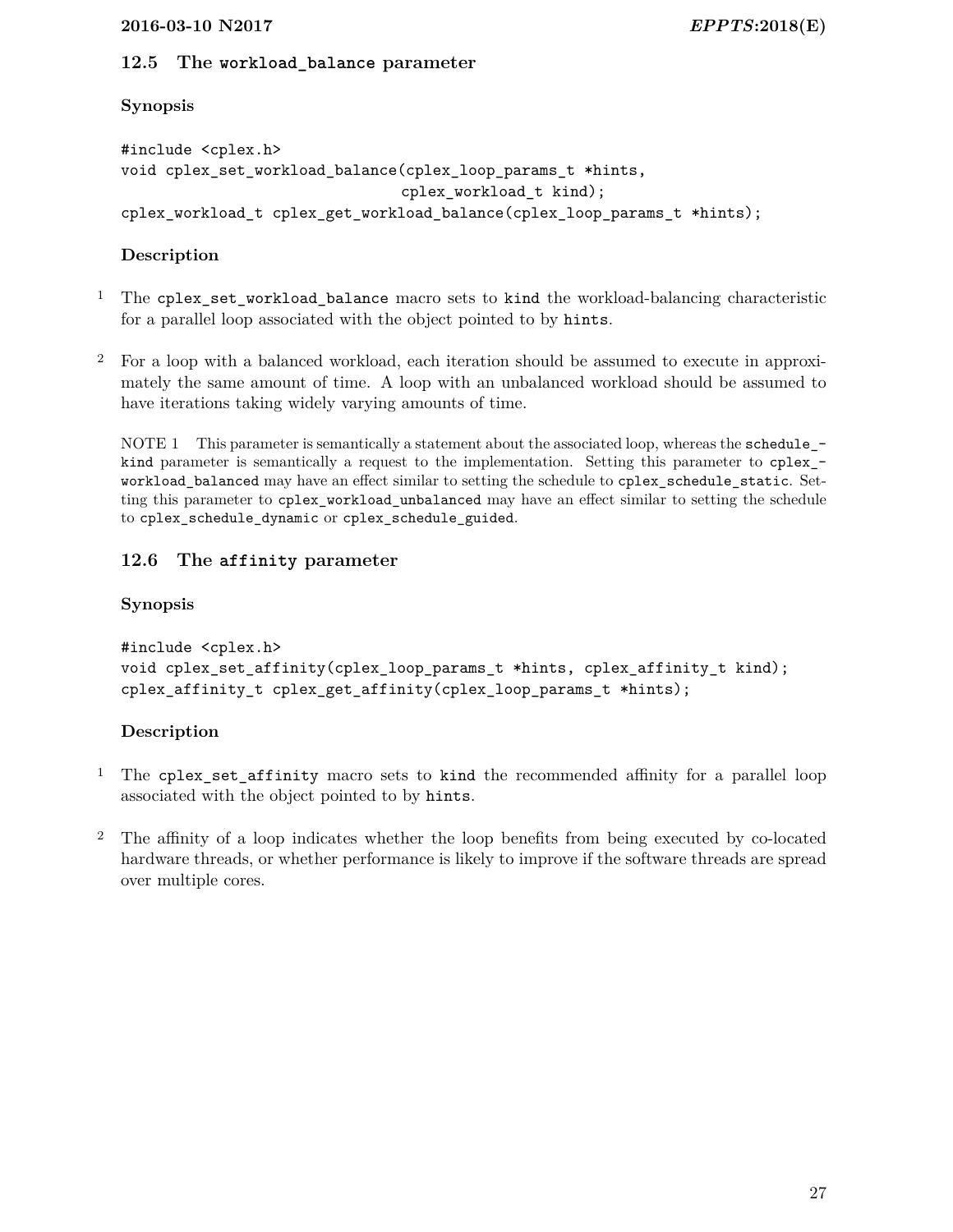## <span id="page-32-0"></span>**12.5 The workload\_balance parameter**

#### **Synopsis**

```
#include <cplex.h>
void cplex_set_workload_balance(cplex_loop_params_t *hints,
                               cplex_workload_t kind);
cplex_workload_t cplex_get_workload_balance(cplex_loop_params_t *hints);
```
## **Description**

- 1 The cplex\_set\_workload\_balance macro sets to kind the workload-balancing characteristic for a parallel loop associated with the object pointed to by hints.
- 2 For a loop with a balanced workload, each iteration should be assumed to execute in approximately the same amount of time. A loop with an unbalanced workload should be assumed to have iterations taking widely varying amounts of time.

NOTE 1 This parameter is semantically a statement about the associated loop, whereas the schedule  $$ kind parameter is semantically a request to the implementation. Setting this parameter to cplex\_ workload\_balanced may have an effect similar to setting the schedule to cplex\_schedule\_static. Setting this parameter to cplex workload unbalanced may have an effect similar to setting the schedule to cplex\_schedule\_dynamic or cplex\_schedule\_guided.

## <span id="page-32-1"></span>**12.6 The affinity parameter**

## **Synopsis**

```
#include <cplex.h>
void cplex_set_affinity(cplex_loop_params_t *hints, cplex_affinity_t kind);
cplex_affinity_t cplex_get_affinity(cplex_loop_params_t *hints);
```
## **Description**

- <sup>1</sup> The cplex\_set\_affinity macro sets to kind the recommended affinity for a parallel loop associated with the object pointed to by hints.
- 2 The affinity of a loop indicates whether the loop benefits from being executed by co-located hardware threads, or whether performance is likely to improve if the software threads are spread over multiple cores.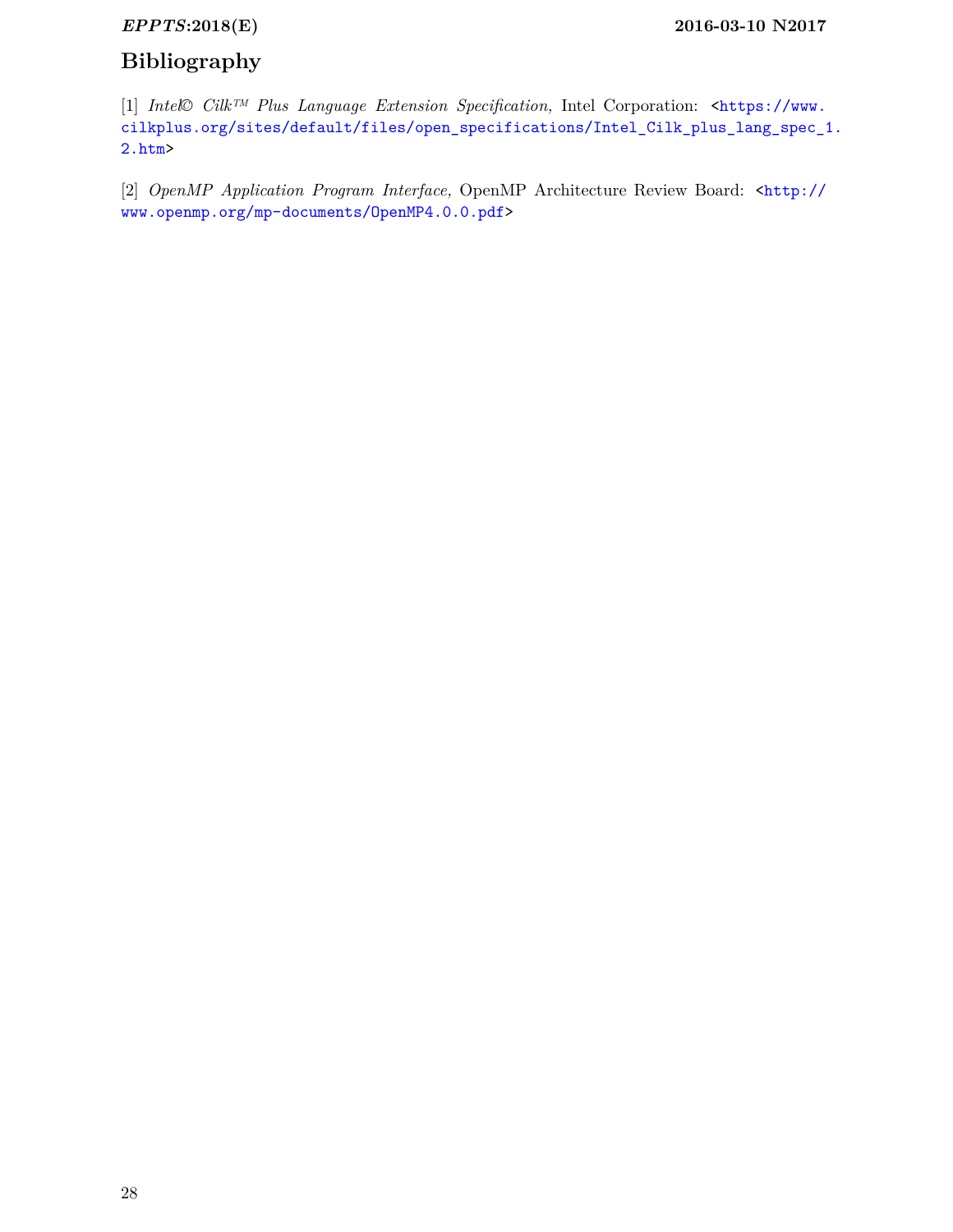## *EPPTS***:2018(E) 2016-03-10 N2017**

# <span id="page-33-0"></span>**Bibliography**

[1] *Intel© Cilk™ Plus Language Extension Specification,* Intel Corporation: [<https://www.](https://www.cilkplus.org/sites/default/files/open_specifications/Intel_Cilk_plus_lang_spec_1.2.htm) [cilkplus.org/sites/default/files/open\\_specifications/Intel\\_Cilk\\_plus\\_lang\\_spec\\_1](https://www.cilkplus.org/sites/default/files/open_specifications/Intel_Cilk_plus_lang_spec_1.2.htm). [2.htm>](https://www.cilkplus.org/sites/default/files/open_specifications/Intel_Cilk_plus_lang_spec_1.2.htm)

[2] *OpenMP Application Program Interface,* OpenMP Architecture Review Board: [<http://](http://www.openmp.org/mp-documents/OpenMP4.0.0.pdf) [www.openmp.org/mp-documents/OpenMP4.0.0.pdf>](http://www.openmp.org/mp-documents/OpenMP4.0.0.pdf)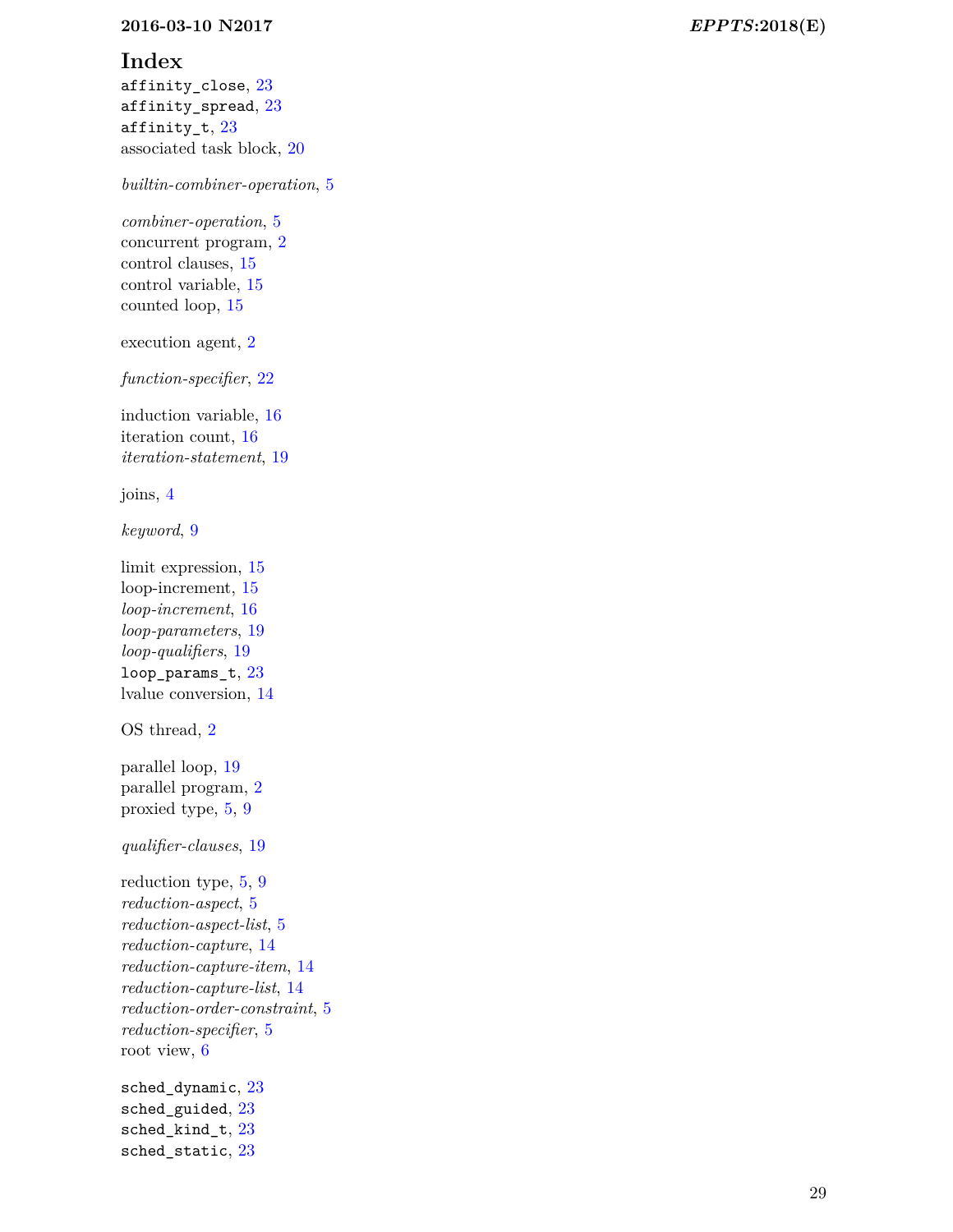#### **2016-03-10 N2017** *EPPTS***:2018(E)**

## <span id="page-34-0"></span>**Index**

 $\texttt{affinity\_close},\,23$  $\texttt{affinity\_close},\,23$  $\operatorname{\sf affinity\_spread},\, 23$  $\operatorname{\sf affinity\_spread},\, 23$  $\texttt{affinity\_t},\, 23$  $\texttt{affinity\_t},\, 23$ associated task block, [20](#page-25-3)

*builtin-combiner-operation* , [5](#page-10-3)

*combiner-operation* , [5](#page-10-3) concurrent program, [2](#page-7-1) control clauses, [15](#page-20-1) control variable, [15](#page-20-1) counted loop, [15](#page-20-1)

execution agent, [2](#page-7-1)

*function-specifier* , [22](#page-27-4)

induction variable, [16](#page-21-0) iteration count, [16](#page-21-0) *iteration-statement* , [19](#page-24-3)

joins, [4](#page-9-1)

*keyword* , [9](#page-14-2)

limit expression, [15](#page-20-1) loop-increment, [15](#page-20-1) *loop-increment* , [16](#page-21-0) *loop-parameters* , [19](#page-24-3) *loop-qualifiers* , [19](#page-24-3)  $\texttt{loop\_params\_t}, \, 23$  $\texttt{loop\_params\_t}, \, 23$ lvalue conversion, [14](#page-19-3)

OS thread, [2](#page-7-1)

parallel loop, [19](#page-24-3) parallel program, [2](#page-7-1) proxied type, [5](#page-10-3) , [9](#page-14-2)

*qualifier-clauses* , [19](#page-24-3)

reduction type,  $5, 9$  $5, 9$  $5, 9$ *reduction-aspect* , [5](#page-10-3) *reduction-aspect-list* , [5](#page-10-3) *reduction-capture* , [14](#page-19-3) *reduction-capture-item* , [14](#page-19-3) *reduction-capture-list* , [14](#page-19-3) *reduction-order-constraint* , [5](#page-10-3) *reduction-specifier* , [5](#page-10-3) root view, [6](#page-11-1)

 $\texttt{sched\_dynamic},\,23$  $\texttt{sched\_dynamic},\,23$ sched\_guided,  $23$ sched\_kind\_t,  $23$  ${\tt schedule}, 23$  ${\tt schedule}, 23$